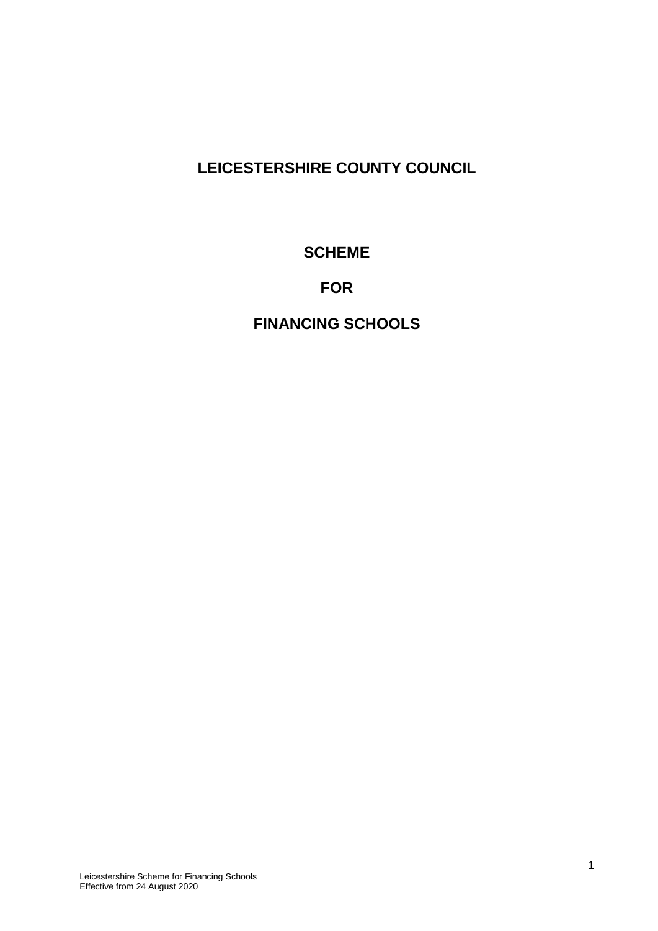# **LEICESTERSHIRE COUNTY COUNCIL**

# **SCHEME**

# **FOR**

# **FINANCING SCHOOLS**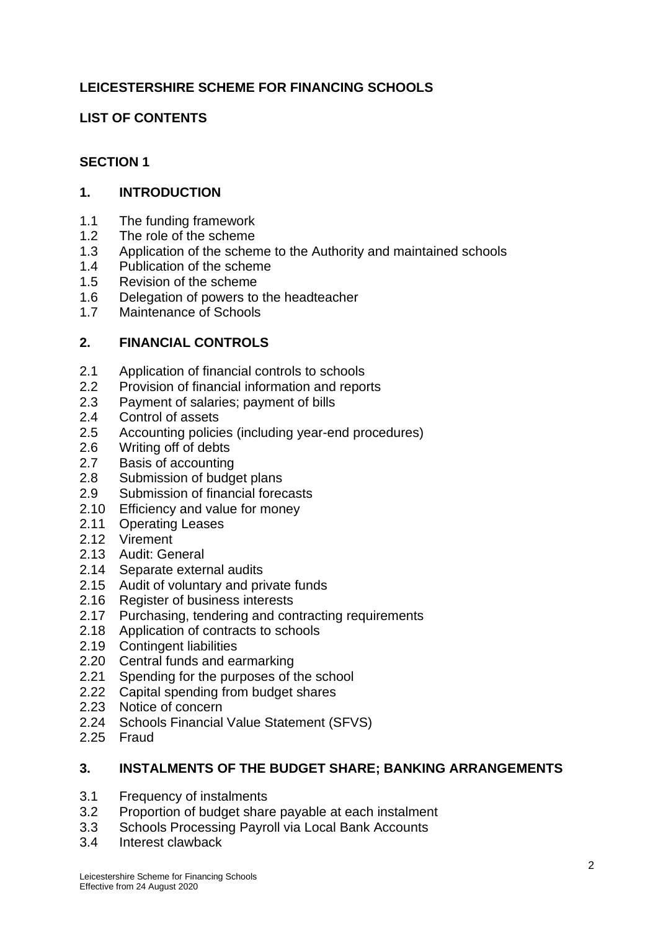# **LEICESTERSHIRE SCHEME FOR FINANCING SCHOOLS**

# **LIST OF CONTENTS**

# **SECTION 1**

# **1. INTRODUCTION**

- 1.1 The funding framework
- 1.2 The role of the scheme
- 1.3 Application of the scheme to the Authority and maintained schools
- 1.4 Publication of the scheme
- 1.5 Revision of the scheme
- 1.6 Delegation of powers to the headteacher
- 1.7 Maintenance of Schools

# **2. FINANCIAL CONTROLS**

- 2.1 Application of financial controls to schools
- 2.2 Provision of financial information and reports
- 2.3 Payment of salaries; payment of bills
- 2.4 Control of assets
- 2.5 Accounting policies (including year-end procedures)
- 2.6 Writing off of debts
- 2.7 Basis of accounting
- 2.8 Submission of budget plans
- 2.9 Submission of financial forecasts
- 2.10 Efficiency and value for money
- 2.11 Operating Leases
- 2.12 Virement
- 2.13 Audit: General
- 2.14 Separate external audits
- 2.15 Audit of voluntary and private funds
- 2.16 Register of business interests
- 2.17 Purchasing, tendering and contracting requirements
- 2.18 Application of contracts to schools
- 2.19 Contingent liabilities
- 2.20 Central funds and earmarking
- 2.21 Spending for the purposes of the school
- 2.22 Capital spending from budget shares
- 2.23 Notice of concern
- 2.24 Schools Financial Value Statement (SFVS)
- 2.25 Fraud

### **3. INSTALMENTS OF THE BUDGET SHARE; BANKING ARRANGEMENTS**

- 3.1 Frequency of instalments
- 3.2 Proportion of budget share payable at each instalment
- 3.3 Schools Processing Payroll via Local Bank Accounts
- 3.4 Interest clawback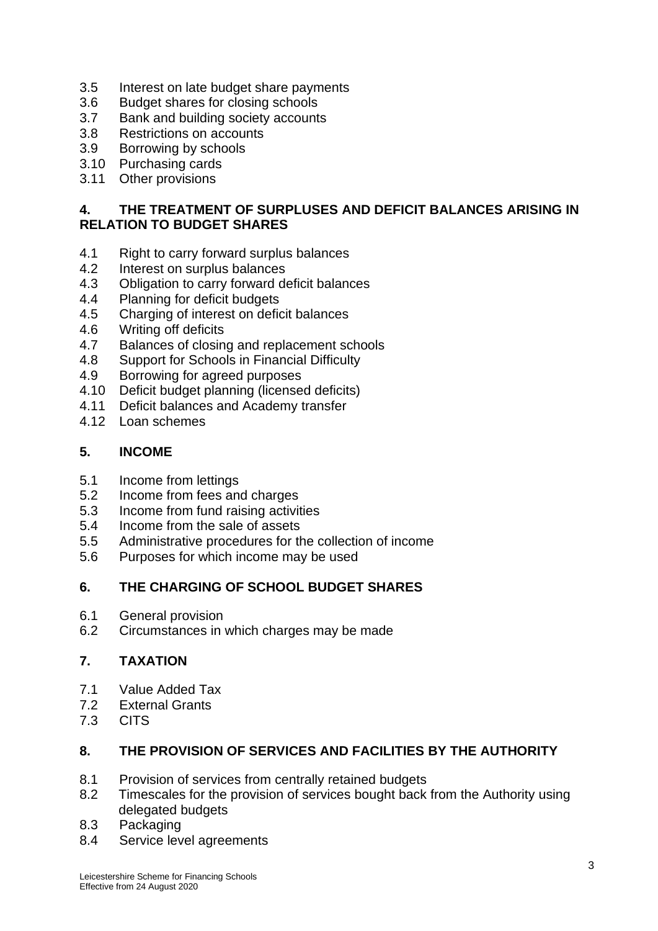- 3.5 Interest on late budget share payments
- 3.6 Budget shares for closing schools
- 3.7 Bank and building society accounts
- 3.8 Restrictions on accounts
- 3.9 Borrowing by schools
- 3.10 Purchasing cards
- 3.11 Other provisions

# **4. THE TREATMENT OF SURPLUSES AND DEFICIT BALANCES ARISING IN RELATION TO BUDGET SHARES**

- 4.1 Right to carry forward surplus balances
- 4.2 Interest on surplus balances
- 4.3 Obligation to carry forward deficit balances
- 4.4 Planning for deficit budgets
- 4.5 Charging of interest on deficit balances
- 4.6 Writing off deficits
- 4.7 Balances of closing and replacement schools
- 4.8 Support for Schools in Financial Difficulty
- 4.9 Borrowing for agreed purposes
- 4.10 Deficit budget planning (licensed deficits)
- 4.11 Deficit balances and Academy transfer
- 4.12 Loan schemes

### **5. INCOME**

- 5.1 Income from lettings
- 5.2 Income from fees and charges
- 5.3 Income from fund raising activities
- 5.4 Income from the sale of assets
- 5.5 Administrative procedures for the collection of income
- 5.6 Purposes for which income may be used

# **6. THE CHARGING OF SCHOOL BUDGET SHARES**

- 6.1 General provision
- 6.2 Circumstances in which charges may be made

# **7. TAXATION**

- 7.1 Value Added Tax
- 7.2 External Grants<br>7.3 CITS
- **CITS**

# **8. THE PROVISION OF SERVICES AND FACILITIES BY THE AUTHORITY**

- 8.1 Provision of services from centrally retained budgets
- 8.2 Timescales for the provision of services bought back from the Authority using delegated budgets
- 8.3 Packaging
- 8.4 Service level agreements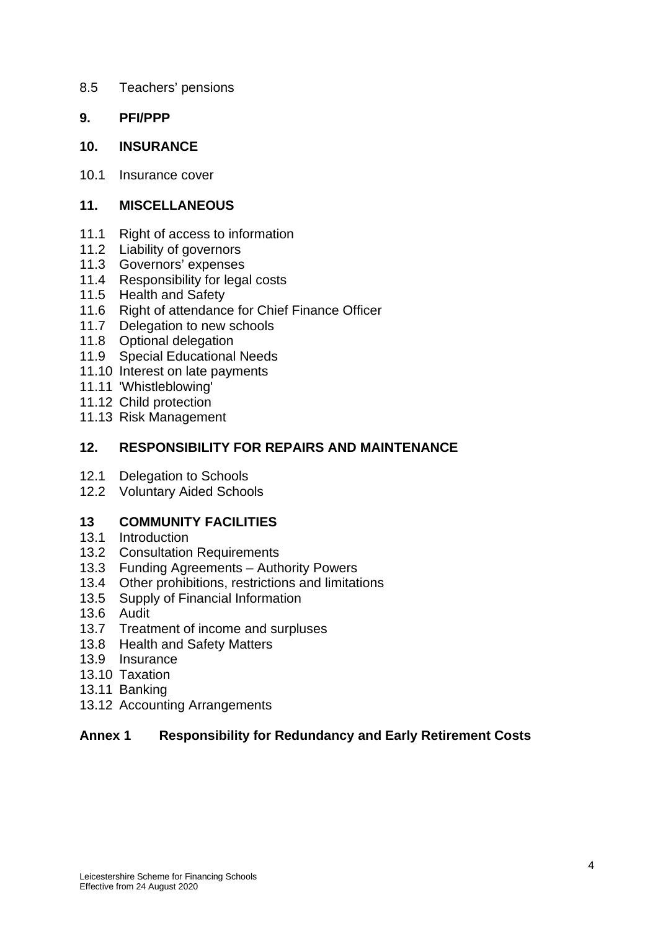- 8.5 Teachers' pensions
- **9. PFI/PPP**
- **10. INSURANCE**
- 10.1 Insurance cover

# **11. MISCELLANEOUS**

- 11.1 Right of access to information
- 11.2 Liability of governors
- 11.3 Governors' expenses
- 11.4 Responsibility for legal costs
- 11.5 Health and Safety
- 11.6 Right of attendance for Chief Finance Officer
- 11.7 Delegation to new schools
- 11.8 Optional delegation
- 11.9 Special Educational Needs
- 11.10 Interest on late payments
- 11.11 'Whistleblowing'
- 11.12 Child protection
- 11.13 Risk Management

### **12. RESPONSIBILITY FOR REPAIRS AND MAINTENANCE**

- 12.1 Delegation to Schools
- 12.2 Voluntary Aided Schools

### **13 COMMUNITY FACILITIES**

- 13.1 Introduction
- 13.2 Consultation Requirements
- 13.3 Funding Agreements Authority Powers
- 13.4 Other prohibitions, restrictions and limitations
- 13.5 Supply of Financial Information
- 13.6 Audit
- 13.7 Treatment of income and surpluses
- 13.8 Health and Safety Matters
- 13.9 Insurance
- 13.10 Taxation
- 13.11 Banking
- 13.12 Accounting Arrangements

# **Annex 1 Responsibility for Redundancy and Early Retirement Costs**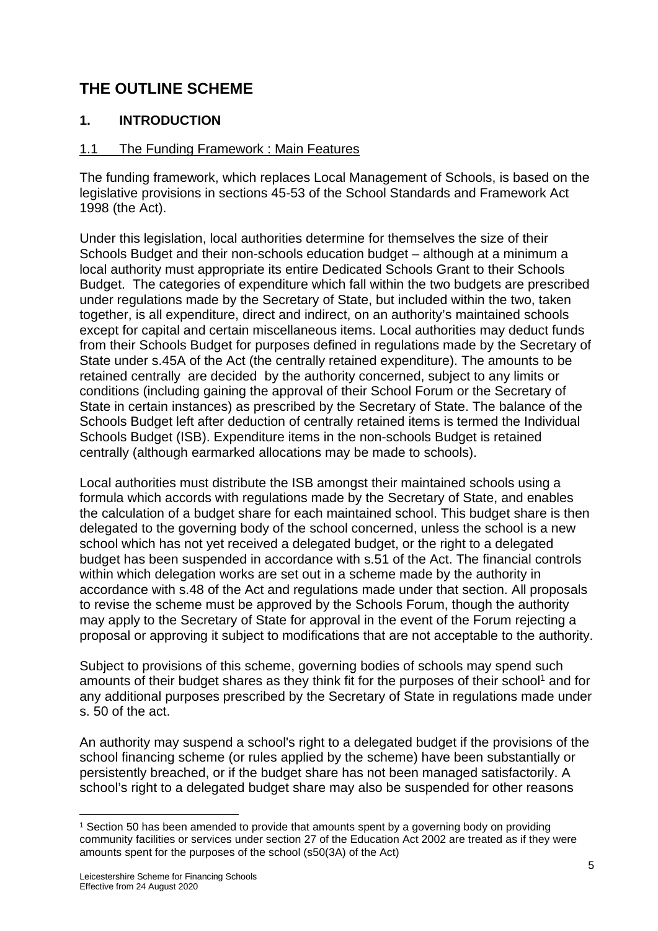# **THE OUTLINE SCHEME**

# **1. INTRODUCTION**

# 1.1 The Funding Framework : Main Features

The funding framework, which replaces Local Management of Schools, is based on the legislative provisions in sections 45-53 of the School Standards and Framework Act 1998 (the Act).

Under this legislation, local authorities determine for themselves the size of their Schools Budget and their non-schools education budget – although at a minimum a local authority must appropriate its entire Dedicated Schools Grant to their Schools Budget. The categories of expenditure which fall within the two budgets are prescribed under regulations made by the Secretary of State, but included within the two, taken together, is all expenditure, direct and indirect, on an authority's maintained schools except for capital and certain miscellaneous items. Local authorities may deduct funds from their Schools Budget for purposes defined in regulations made by the Secretary of State under s.45A of the Act (the centrally retained expenditure). The amounts to be retained centrally are decided by the authority concerned, subject to any limits or conditions (including gaining the approval of their School Forum or the Secretary of State in certain instances) as prescribed by the Secretary of State. The balance of the Schools Budget left after deduction of centrally retained items is termed the Individual Schools Budget (ISB). Expenditure items in the non-schools Budget is retained centrally (although earmarked allocations may be made to schools).

Local authorities must distribute the ISB amongst their maintained schools using a formula which accords with regulations made by the Secretary of State, and enables the calculation of a budget share for each maintained school. This budget share is then delegated to the governing body of the school concerned, unless the school is a new school which has not yet received a delegated budget, or the right to a delegated budget has been suspended in accordance with s.51 of the Act. The financial controls within which delegation works are set out in a scheme made by the authority in accordance with s.48 of the Act and regulations made under that section. All proposals to revise the scheme must be approved by the Schools Forum, though the authority may apply to the Secretary of State for approval in the event of the Forum rejecting a proposal or approving it subject to modifications that are not acceptable to the authority.

Subject to provisions of this scheme, governing bodies of schools may spend such amounts of their budget shares as they think fit for the purposes of their school<sup>1</sup> and for any additional purposes prescribed by the Secretary of State in regulations made under s. 50 of the act.

An authority may suspend a school's right to a delegated budget if the provisions of the school financing scheme (or rules applied by the scheme) have been substantially or persistently breached, or if the budget share has not been managed satisfactorily. A school's right to a delegated budget share may also be suspended for other reasons

<sup>1</sup> Section 50 has been amended to provide that amounts spent by a governing body on providing community facilities or services under section 27 of the Education Act 2002 are treated as if they were amounts spent for the purposes of the school (s50(3A) of the Act)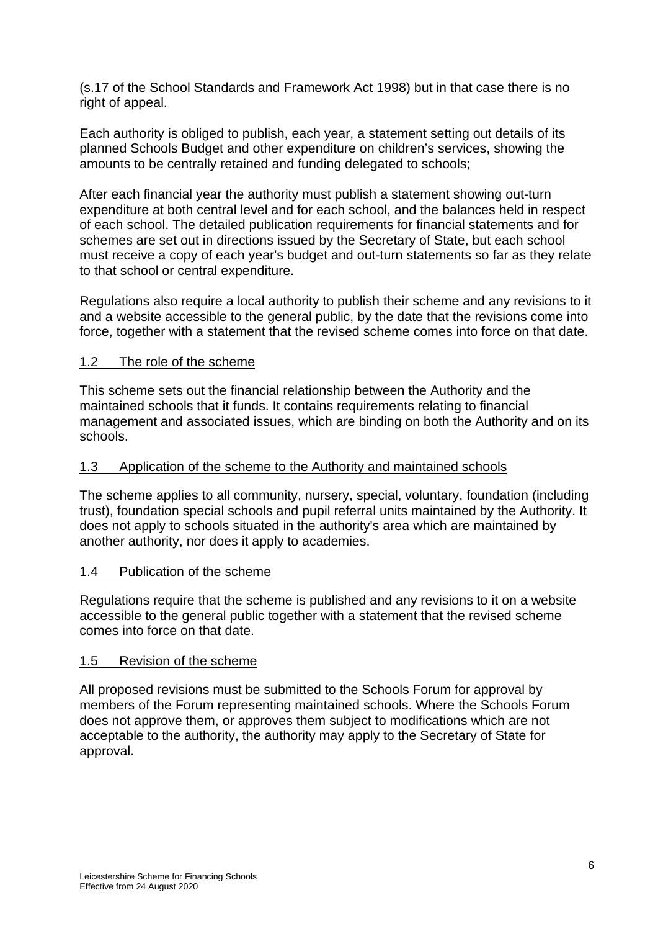(s.17 of the School Standards and Framework Act 1998) but in that case there is no right of appeal.

Each authority is obliged to publish, each year, a statement setting out details of its planned Schools Budget and other expenditure on children's services, showing the amounts to be centrally retained and funding delegated to schools;

After each financial year the authority must publish a statement showing out-turn expenditure at both central level and for each school, and the balances held in respect of each school. The detailed publication requirements for financial statements and for schemes are set out in directions issued by the Secretary of State, but each school must receive a copy of each year's budget and out-turn statements so far as they relate to that school or central expenditure.

Regulations also require a local authority to publish their scheme and any revisions to it and a website accessible to the general public, by the date that the revisions come into force, together with a statement that the revised scheme comes into force on that date.

### 1.2 The role of the scheme

This scheme sets out the financial relationship between the Authority and the maintained schools that it funds. It contains requirements relating to financial management and associated issues, which are binding on both the Authority and on its schools.

### 1.3 Application of the scheme to the Authority and maintained schools

The scheme applies to all community, nursery, special, voluntary, foundation (including trust), foundation special schools and pupil referral units maintained by the Authority. It does not apply to schools situated in the authority's area which are maintained by another authority, nor does it apply to academies.

### 1.4 Publication of the scheme

Regulations require that the scheme is published and any revisions to it on a website accessible to the general public together with a statement that the revised scheme comes into force on that date.

### 1.5 Revision of the scheme

All proposed revisions must be submitted to the Schools Forum for approval by members of the Forum representing maintained schools. Where the Schools Forum does not approve them, or approves them subject to modifications which are not acceptable to the authority, the authority may apply to the Secretary of State for approval.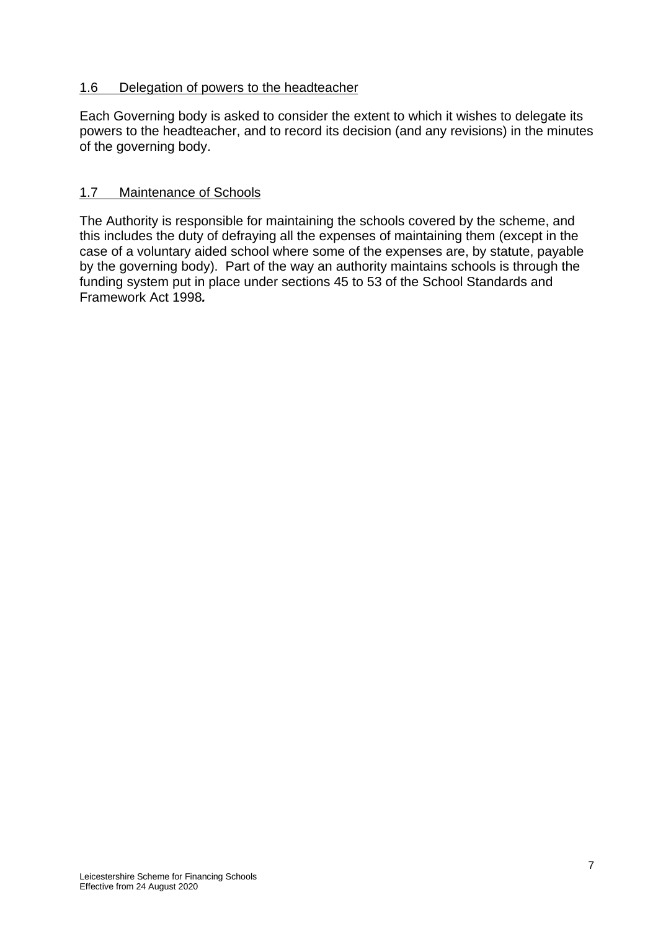# 1.6 Delegation of powers to the headteacher

Each Governing body is asked to consider the extent to which it wishes to delegate its powers to the headteacher, and to record its decision (and any revisions) in the minutes of the governing body.

### 1.7 Maintenance of Schools

The Authority is responsible for maintaining the schools covered by the scheme, and this includes the duty of defraying all the expenses of maintaining them (except in the case of a voluntary aided school where some of the expenses are, by statute, payable by the governing body). Part of the way an authority maintains schools is through the funding system put in place under sections 45 to 53 of the School Standards and Framework Act 1998*.*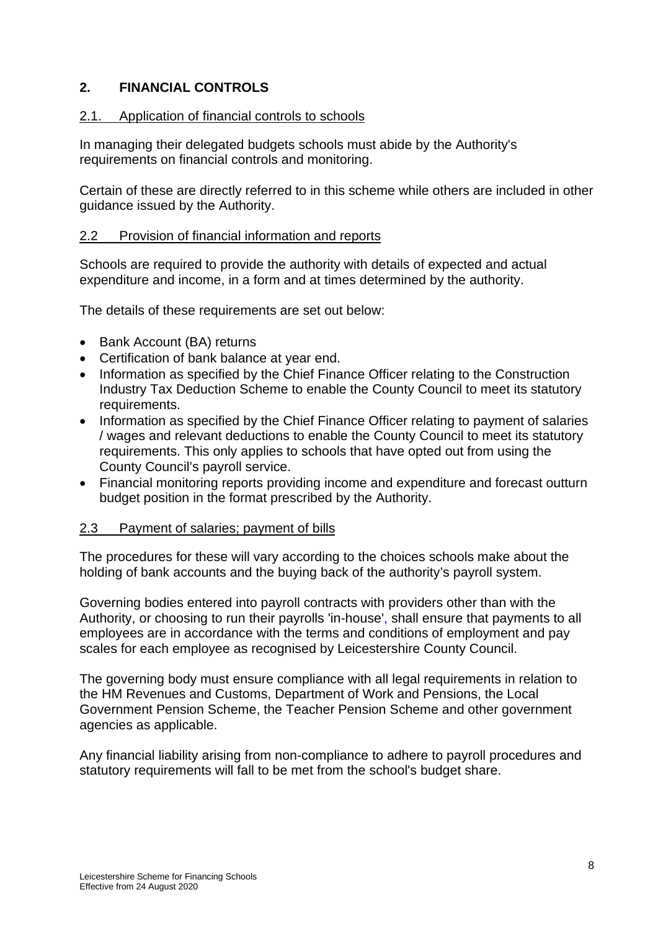# **2. FINANCIAL CONTROLS**

### 2.1. Application of financial controls to schools

In managing their delegated budgets schools must abide by the Authority's requirements on financial controls and monitoring.

Certain of these are directly referred to in this scheme while others are included in other guidance issued by the Authority.

### 2.2 Provision of financial information and reports

Schools are required to provide the authority with details of expected and actual expenditure and income, in a form and at times determined by the authority.

The details of these requirements are set out below:

- Bank Account (BA) returns
- Certification of bank balance at year end.
- Information as specified by the Chief Finance Officer relating to the Construction Industry Tax Deduction Scheme to enable the County Council to meet its statutory requirements.
- Information as specified by the Chief Finance Officer relating to payment of salaries / wages and relevant deductions to enable the County Council to meet its statutory requirements. This only applies to schools that have opted out from using the County Council's payroll service.
- Financial monitoring reports providing income and expenditure and forecast outturn budget position in the format prescribed by the Authority.

### 2.3 Payment of salaries; payment of bills

The procedures for these will vary according to the choices schools make about the holding of bank accounts and the buying back of the authority's payroll system.

Governing bodies entered into payroll contracts with providers other than with the Authority, or choosing to run their payrolls 'in-house', shall ensure that payments to all employees are in accordance with the terms and conditions of employment and pay scales for each employee as recognised by Leicestershire County Council.

The governing body must ensure compliance with all legal requirements in relation to the HM Revenues and Customs, Department of Work and Pensions, the Local Government Pension Scheme, the Teacher Pension Scheme and other government agencies as applicable.

Any financial liability arising from non-compliance to adhere to payroll procedures and statutory requirements will fall to be met from the school's budget share.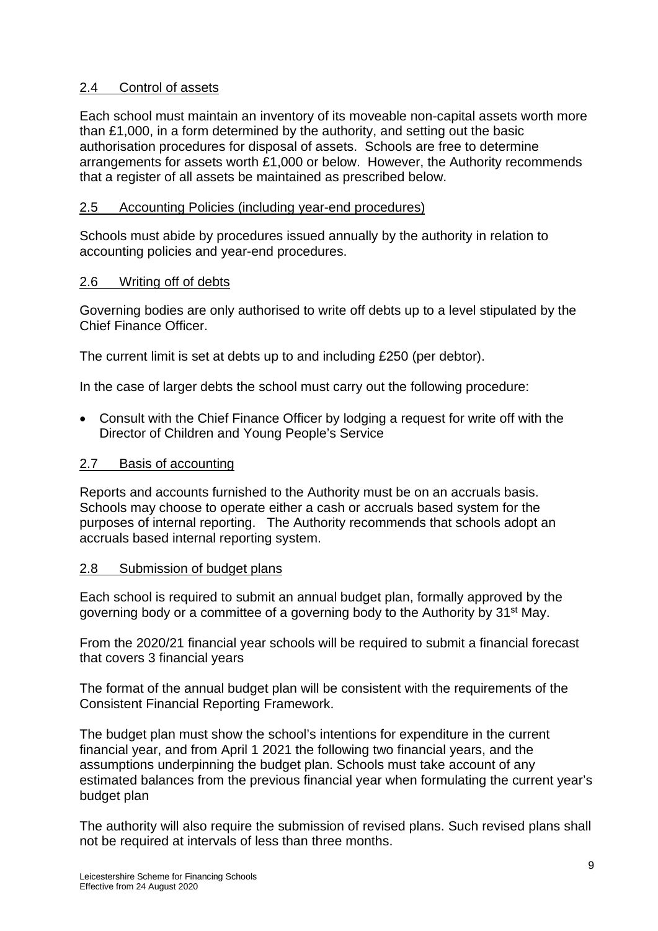# 2.4 Control of assets

Each school must maintain an inventory of its moveable non-capital assets worth more than £1,000, in a form determined by the authority, and setting out the basic authorisation procedures for disposal of assets. Schools are free to determine arrangements for assets worth £1,000 or below. However, the Authority recommends that a register of all assets be maintained as prescribed below.

# 2.5 Accounting Policies (including year-end procedures)

Schools must abide by procedures issued annually by the authority in relation to accounting policies and year-end procedures.

### 2.6 Writing off of debts

Governing bodies are only authorised to write off debts up to a level stipulated by the Chief Finance Officer.

The current limit is set at debts up to and including £250 (per debtor).

In the case of larger debts the school must carry out the following procedure:

 Consult with the Chief Finance Officer by lodging a request for write off with the Director of Children and Young People's Service

### 2.7 Basis of accounting

Reports and accounts furnished to the Authority must be on an accruals basis. Schools may choose to operate either a cash or accruals based system for the purposes of internal reporting. The Authority recommends that schools adopt an accruals based internal reporting system.

### 2.8 Submission of budget plans

Each school is required to submit an annual budget plan, formally approved by the governing body or a committee of a governing body to the Authority by 31st May.

From the 2020/21 financial year schools will be required to submit a financial forecast that covers 3 financial years

The format of the annual budget plan will be consistent with the requirements of the Consistent Financial Reporting Framework.

The budget plan must show the school's intentions for expenditure in the current financial year, and from April 1 2021 the following two financial years, and the assumptions underpinning the budget plan. Schools must take account of any estimated balances from the previous financial year when formulating the current year's budget plan

The authority will also require the submission of revised plans. Such revised plans shall not be required at intervals of less than three months.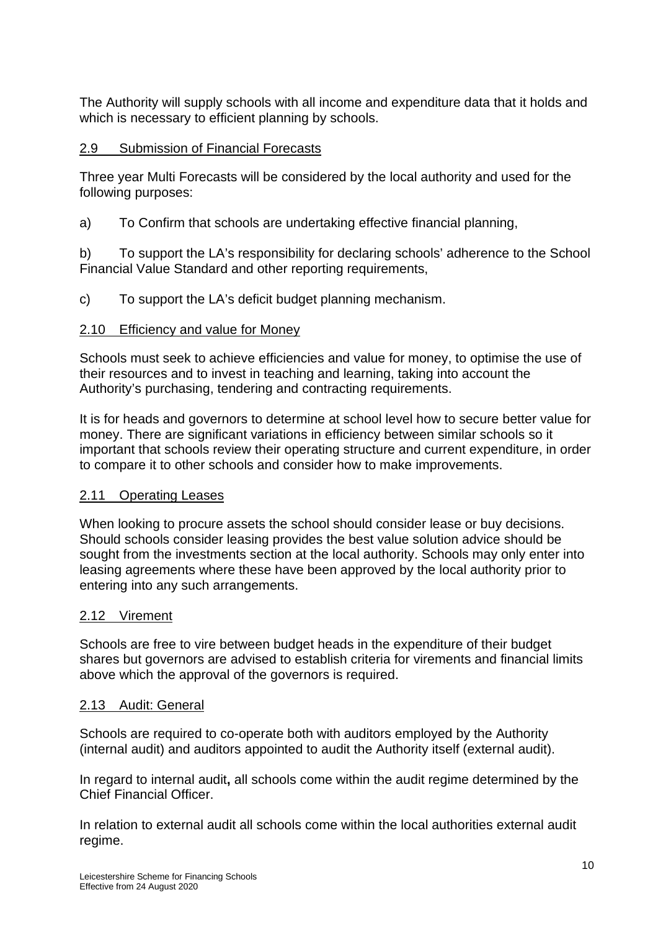The Authority will supply schools with all income and expenditure data that it holds and which is necessary to efficient planning by schools.

### 2.9 Submission of Financial Forecasts

Three year Multi Forecasts will be considered by the local authority and used for the following purposes:

a) To Confirm that schools are undertaking effective financial planning,

b) To support the LA's responsibility for declaring schools' adherence to the School Financial Value Standard and other reporting requirements,

c) To support the LA's deficit budget planning mechanism.

### 2.10 Efficiency and value for Money

Schools must seek to achieve efficiencies and value for money, to optimise the use of their resources and to invest in teaching and learning, taking into account the Authority's purchasing, tendering and contracting requirements.

It is for heads and governors to determine at school level how to secure better value for money. There are significant variations in efficiency between similar schools so it important that schools review their operating structure and current expenditure, in order to compare it to other schools and consider how to make improvements.

### 2.11 Operating Leases

When looking to procure assets the school should consider lease or buy decisions. Should schools consider leasing provides the best value solution advice should be sought from the investments section at the local authority. Schools may only enter into leasing agreements where these have been approved by the local authority prior to entering into any such arrangements.

#### 2.12 Virement

Schools are free to vire between budget heads in the expenditure of their budget shares but governors are advised to establish criteria for virements and financial limits above which the approval of the governors is required.

#### 2.13 Audit: General

Schools are required to co-operate both with auditors employed by the Authority (internal audit) and auditors appointed to audit the Authority itself (external audit).

In regard to internal audit**,** all schools come within the audit regime determined by the Chief Financial Officer.

In relation to external audit all schools come within the local authorities external audit regime.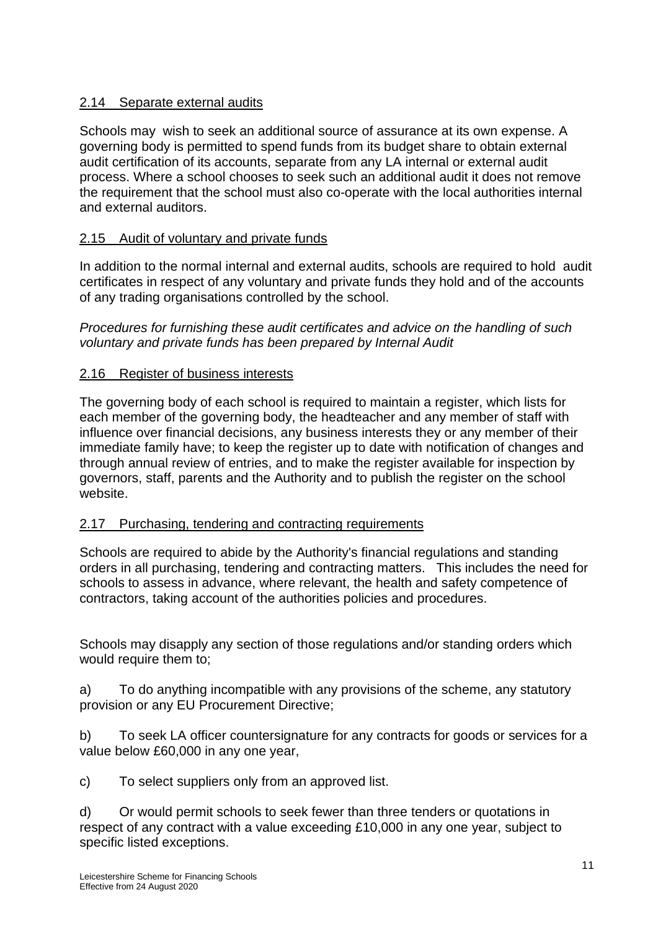# 2.14 Separate external audits

Schools may wish to seek an additional source of assurance at its own expense. A governing body is permitted to spend funds from its budget share to obtain external audit certification of its accounts, separate from any LA internal or external audit process. Where a school chooses to seek such an additional audit it does not remove the requirement that the school must also co-operate with the local authorities internal and external auditors.

# 2.15 Audit of voluntary and private funds

In addition to the normal internal and external audits, schools are required to hold audit certificates in respect of any voluntary and private funds they hold and of the accounts of any trading organisations controlled by the school.

*Procedures for furnishing these audit certificates and advice on the handling of such voluntary and private funds has been prepared by Internal Audit* 

### 2.16 Register of business interests

The governing body of each school is required to maintain a register, which lists for each member of the governing body, the headteacher and any member of staff with influence over financial decisions, any business interests they or any member of their immediate family have; to keep the register up to date with notification of changes and through annual review of entries, and to make the register available for inspection by governors, staff, parents and the Authority and to publish the register on the school website.

### 2.17 Purchasing, tendering and contracting requirements

Schools are required to abide by the Authority's financial regulations and standing orders in all purchasing, tendering and contracting matters. This includes the need for schools to assess in advance, where relevant, the health and safety competence of contractors, taking account of the authorities policies and procedures.

Schools may disapply any section of those regulations and/or standing orders which would require them to;

a) To do anything incompatible with any provisions of the scheme, any statutory provision or any EU Procurement Directive;

b) To seek LA officer countersignature for any contracts for goods or services for a value below £60,000 in any one year,

c) To select suppliers only from an approved list.

d) Or would permit schools to seek fewer than three tenders or quotations in respect of any contract with a value exceeding £10,000 in any one year, subject to specific listed exceptions.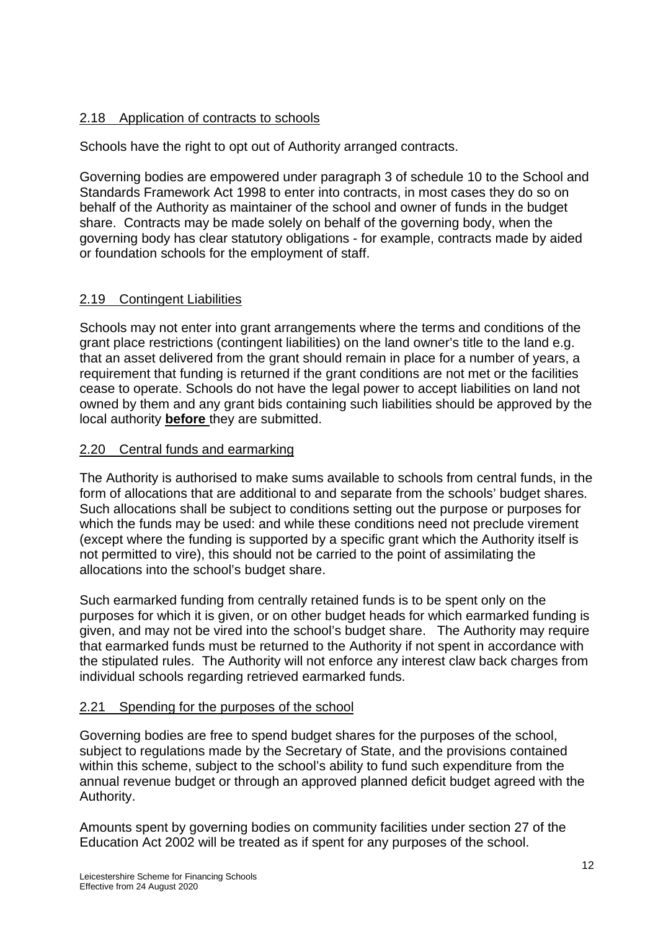# 2.18 Application of contracts to schools

Schools have the right to opt out of Authority arranged contracts.

Governing bodies are empowered under paragraph 3 of schedule 10 to the School and Standards Framework Act 1998 to enter into contracts, in most cases they do so on behalf of the Authority as maintainer of the school and owner of funds in the budget share. Contracts may be made solely on behalf of the governing body, when the governing body has clear statutory obligations - for example, contracts made by aided or foundation schools for the employment of staff.

# 2.19 Contingent Liabilities

Schools may not enter into grant arrangements where the terms and conditions of the grant place restrictions (contingent liabilities) on the land owner's title to the land e.g. that an asset delivered from the grant should remain in place for a number of years, a requirement that funding is returned if the grant conditions are not met or the facilities cease to operate. Schools do not have the legal power to accept liabilities on land not owned by them and any grant bids containing such liabilities should be approved by the local authority **before** they are submitted.

# 2.20 Central funds and earmarking

The Authority is authorised to make sums available to schools from central funds, in the form of allocations that are additional to and separate from the schools' budget shares. Such allocations shall be subject to conditions setting out the purpose or purposes for which the funds may be used: and while these conditions need not preclude virement (except where the funding is supported by a specific grant which the Authority itself is not permitted to vire), this should not be carried to the point of assimilating the allocations into the school's budget share.

Such earmarked funding from centrally retained funds is to be spent only on the purposes for which it is given, or on other budget heads for which earmarked funding is given, and may not be vired into the school's budget share. The Authority may require that earmarked funds must be returned to the Authority if not spent in accordance with the stipulated rules. The Authority will not enforce any interest claw back charges from individual schools regarding retrieved earmarked funds.

# 2.21 Spending for the purposes of the school

Governing bodies are free to spend budget shares for the purposes of the school, subject to regulations made by the Secretary of State, and the provisions contained within this scheme, subject to the school's ability to fund such expenditure from the annual revenue budget or through an approved planned deficit budget agreed with the Authority.

Amounts spent by governing bodies on community facilities under section 27 of the Education Act 2002 will be treated as if spent for any purposes of the school.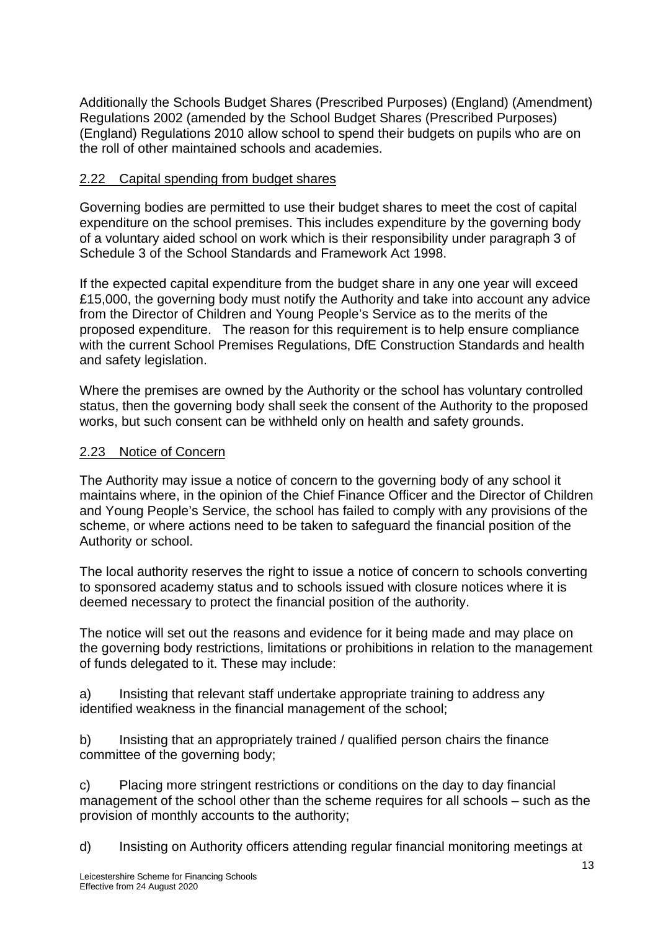Additionally the Schools Budget Shares (Prescribed Purposes) (England) (Amendment) Regulations 2002 (amended by the School Budget Shares (Prescribed Purposes) (England) Regulations 2010 allow school to spend their budgets on pupils who are on the roll of other maintained schools and academies.

# 2.22 Capital spending from budget shares

Governing bodies are permitted to use their budget shares to meet the cost of capital expenditure on the school premises. This includes expenditure by the governing body of a voluntary aided school on work which is their responsibility under paragraph 3 of Schedule 3 of the School Standards and Framework Act 1998.

If the expected capital expenditure from the budget share in any one year will exceed £15,000, the governing body must notify the Authority and take into account any advice from the Director of Children and Young People's Service as to the merits of the proposed expenditure. The reason for this requirement is to help ensure compliance with the current School Premises Regulations, DfE Construction Standards and health and safety legislation.

Where the premises are owned by the Authority or the school has voluntary controlled status, then the governing body shall seek the consent of the Authority to the proposed works, but such consent can be withheld only on health and safety grounds.

# 2.23 Notice of Concern

The Authority may issue a notice of concern to the governing body of any school it maintains where, in the opinion of the Chief Finance Officer and the Director of Children and Young People's Service, the school has failed to comply with any provisions of the scheme, or where actions need to be taken to safeguard the financial position of the Authority or school.

The local authority reserves the right to issue a notice of concern to schools converting to sponsored academy status and to schools issued with closure notices where it is deemed necessary to protect the financial position of the authority.

The notice will set out the reasons and evidence for it being made and may place on the governing body restrictions, limitations or prohibitions in relation to the management of funds delegated to it. These may include:

a) Insisting that relevant staff undertake appropriate training to address any identified weakness in the financial management of the school;

b) Insisting that an appropriately trained / qualified person chairs the finance committee of the governing body;

c) Placing more stringent restrictions or conditions on the day to day financial management of the school other than the scheme requires for all schools – such as the provision of monthly accounts to the authority;

d) Insisting on Authority officers attending regular financial monitoring meetings at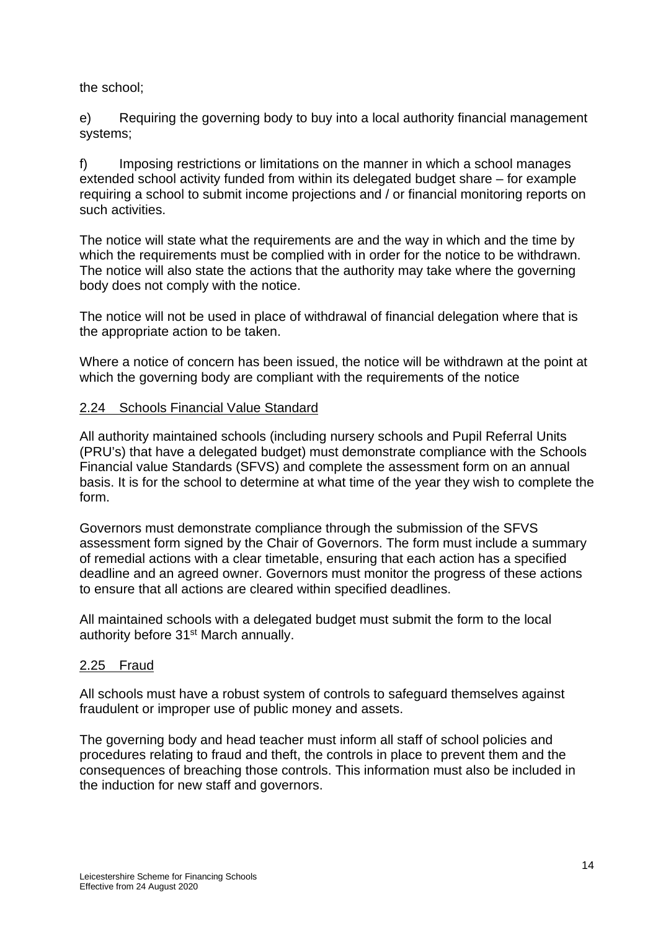the school;

e) Requiring the governing body to buy into a local authority financial management systems;

f) Imposing restrictions or limitations on the manner in which a school manages extended school activity funded from within its delegated budget share – for example requiring a school to submit income projections and / or financial monitoring reports on such activities.

The notice will state what the requirements are and the way in which and the time by which the requirements must be complied with in order for the notice to be withdrawn. The notice will also state the actions that the authority may take where the governing body does not comply with the notice.

The notice will not be used in place of withdrawal of financial delegation where that is the appropriate action to be taken.

Where a notice of concern has been issued, the notice will be withdrawn at the point at which the governing body are compliant with the requirements of the notice

### 2.24 Schools Financial Value Standard

All authority maintained schools (including nursery schools and Pupil Referral Units (PRU's) that have a delegated budget) must demonstrate compliance with the Schools Financial value Standards (SFVS) and complete the assessment form on an annual basis. It is for the school to determine at what time of the year they wish to complete the form.

Governors must demonstrate compliance through the submission of the SFVS assessment form signed by the Chair of Governors. The form must include a summary of remedial actions with a clear timetable, ensuring that each action has a specified deadline and an agreed owner. Governors must monitor the progress of these actions to ensure that all actions are cleared within specified deadlines.

All maintained schools with a delegated budget must submit the form to the local authority before 31<sup>st</sup> March annually.

### 2.25 Fraud

All schools must have a robust system of controls to safeguard themselves against fraudulent or improper use of public money and assets.

The governing body and head teacher must inform all staff of school policies and procedures relating to fraud and theft, the controls in place to prevent them and the consequences of breaching those controls. This information must also be included in the induction for new staff and governors.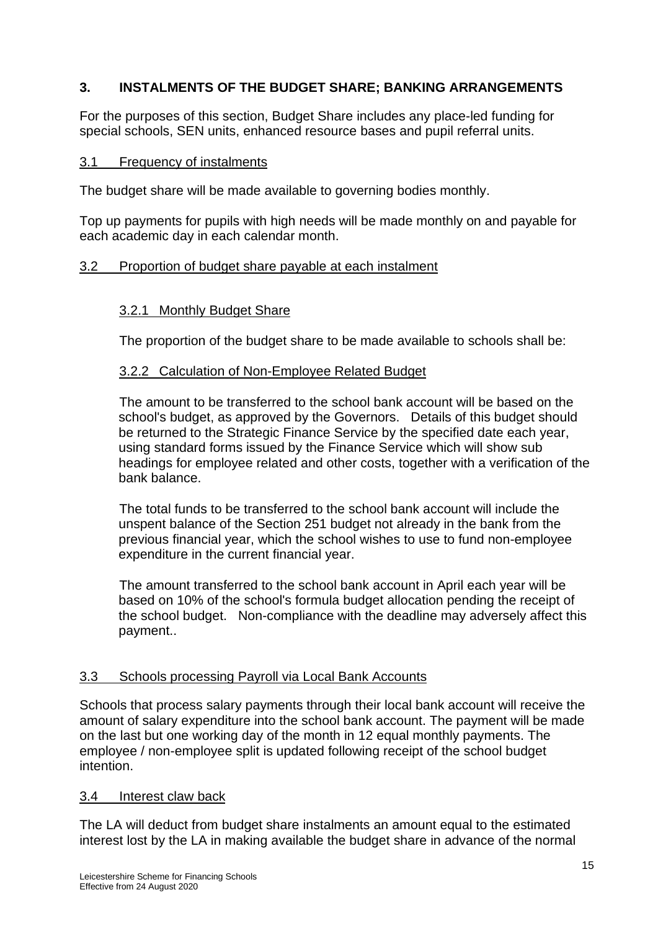# **3. INSTALMENTS OF THE BUDGET SHARE; BANKING ARRANGEMENTS**

For the purposes of this section, Budget Share includes any place-led funding for special schools, SEN units, enhanced resource bases and pupil referral units.

#### 3.1 Frequency of instalments

The budget share will be made available to governing bodies monthly.

Top up payments for pupils with high needs will be made monthly on and payable for each academic day in each calendar month.

### 3.2 Proportion of budget share payable at each instalment

### 3.2.1 Monthly Budget Share

The proportion of the budget share to be made available to schools shall be:

### 3.2.2 Calculation of Non-Employee Related Budget

 The amount to be transferred to the school bank account will be based on the school's budget, as approved by the Governors. Details of this budget should be returned to the Strategic Finance Service by the specified date each year, using standard forms issued by the Finance Service which will show sub headings for employee related and other costs, together with a verification of the bank balance.

 The total funds to be transferred to the school bank account will include the unspent balance of the Section 251 budget not already in the bank from the previous financial year, which the school wishes to use to fund non-employee expenditure in the current financial year.

 The amount transferred to the school bank account in April each year will be based on 10% of the school's formula budget allocation pending the receipt of the school budget. Non-compliance with the deadline may adversely affect this payment..

### 3.3 Schools processing Payroll via Local Bank Accounts

Schools that process salary payments through their local bank account will receive the amount of salary expenditure into the school bank account. The payment will be made on the last but one working day of the month in 12 equal monthly payments. The employee / non-employee split is updated following receipt of the school budget intention.

### 3.4 Interest claw back

The LA will deduct from budget share instalments an amount equal to the estimated interest lost by the LA in making available the budget share in advance of the normal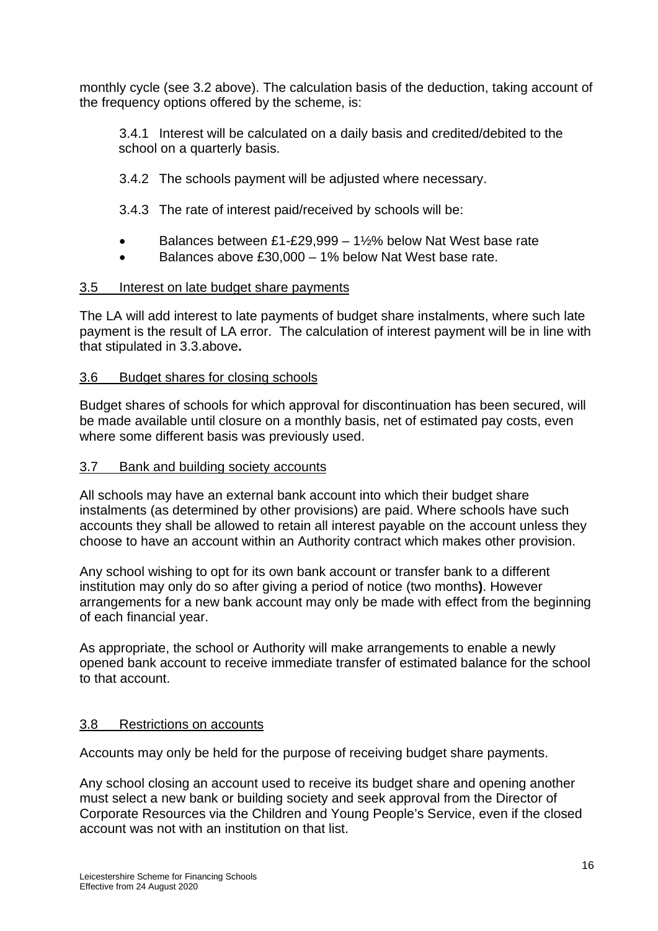monthly cycle (see 3.2 above). The calculation basis of the deduction, taking account of the frequency options offered by the scheme, is:

3.4.1 Interest will be calculated on a daily basis and credited/debited to the school on a quarterly basis.

- 3.4.2 The schools payment will be adjusted where necessary.
- 3.4.3 The rate of interest paid/received by schools will be:
- Balances between £1-£29,999 1½% below Nat West base rate
- Balances above £30,000 1% below Nat West base rate.

# 3.5 Interest on late budget share payments

The LA will add interest to late payments of budget share instalments, where such late payment is the result of LA error. The calculation of interest payment will be in line with that stipulated in 3.3.above**.** 

# 3.6 Budget shares for closing schools

Budget shares of schools for which approval for discontinuation has been secured, will be made available until closure on a monthly basis, net of estimated pay costs, even where some different basis was previously used.

# 3.7 Bank and building society accounts

All schools may have an external bank account into which their budget share instalments (as determined by other provisions) are paid. Where schools have such accounts they shall be allowed to retain all interest payable on the account unless they choose to have an account within an Authority contract which makes other provision.

Any school wishing to opt for its own bank account or transfer bank to a different institution may only do so after giving a period of notice (two months**)**. However arrangements for a new bank account may only be made with effect from the beginning of each financial year.

As appropriate, the school or Authority will make arrangements to enable a newly opened bank account to receive immediate transfer of estimated balance for the school to that account.

# 3.8 Restrictions on accounts

Accounts may only be held for the purpose of receiving budget share payments.

Any school closing an account used to receive its budget share and opening another must select a new bank or building society and seek approval from the Director of Corporate Resources via the Children and Young People's Service, even if the closed account was not with an institution on that list.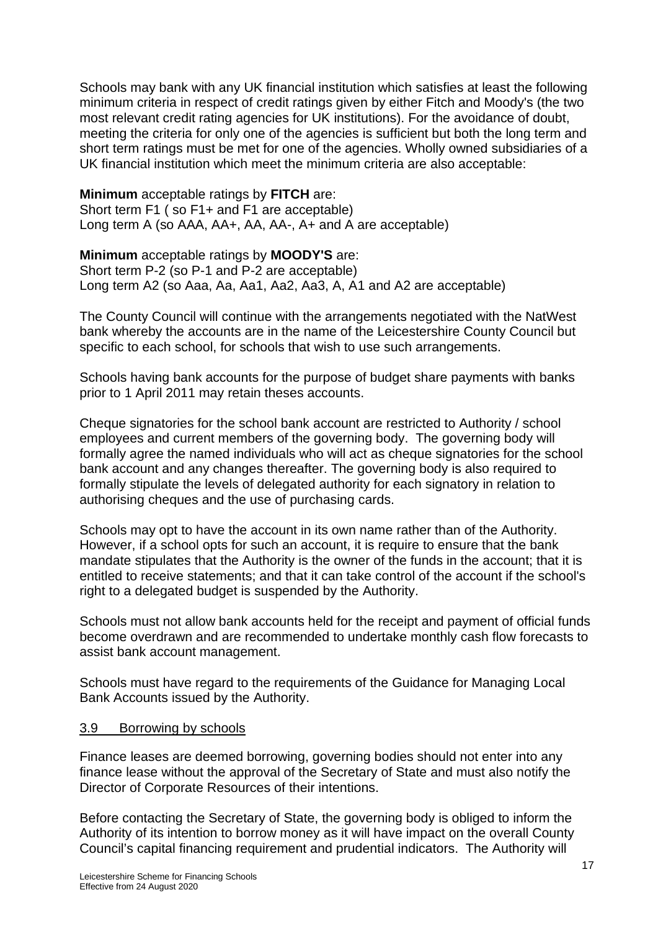Schools may bank with any UK financial institution which satisfies at least the following minimum criteria in respect of credit ratings given by either Fitch and Moody's (the two most relevant credit rating agencies for UK institutions). For the avoidance of doubt, meeting the criteria for only one of the agencies is sufficient but both the long term and short term ratings must be met for one of the agencies. Wholly owned subsidiaries of a UK financial institution which meet the minimum criteria are also acceptable:

**Minimum** acceptable ratings by **FITCH** are: Short term F1 ( so F1+ and F1 are acceptable) Long term A (so AAA, AA+, AA, AA-, A+ and A are acceptable)

**Minimum** acceptable ratings by **MOODY'S** are: Short term P-2 (so P-1 and P-2 are acceptable) Long term A2 (so Aaa, Aa, Aa1, Aa2, Aa3, A, A1 and A2 are acceptable)

The County Council will continue with the arrangements negotiated with the NatWest bank whereby the accounts are in the name of the Leicestershire County Council but specific to each school, for schools that wish to use such arrangements.

Schools having bank accounts for the purpose of budget share payments with banks prior to 1 April 2011 may retain theses accounts.

Cheque signatories for the school bank account are restricted to Authority / school employees and current members of the governing body. The governing body will formally agree the named individuals who will act as cheque signatories for the school bank account and any changes thereafter. The governing body is also required to formally stipulate the levels of delegated authority for each signatory in relation to authorising cheques and the use of purchasing cards.

Schools may opt to have the account in its own name rather than of the Authority. However, if a school opts for such an account, it is require to ensure that the bank mandate stipulates that the Authority is the owner of the funds in the account; that it is entitled to receive statements; and that it can take control of the account if the school's right to a delegated budget is suspended by the Authority.

Schools must not allow bank accounts held for the receipt and payment of official funds become overdrawn and are recommended to undertake monthly cash flow forecasts to assist bank account management.

Schools must have regard to the requirements of the Guidance for Managing Local Bank Accounts issued by the Authority.

### 3.9 Borrowing by schools

Finance leases are deemed borrowing, governing bodies should not enter into any finance lease without the approval of the Secretary of State and must also notify the Director of Corporate Resources of their intentions.

Before contacting the Secretary of State, the governing body is obliged to inform the Authority of its intention to borrow money as it will have impact on the overall County Council's capital financing requirement and prudential indicators. The Authority will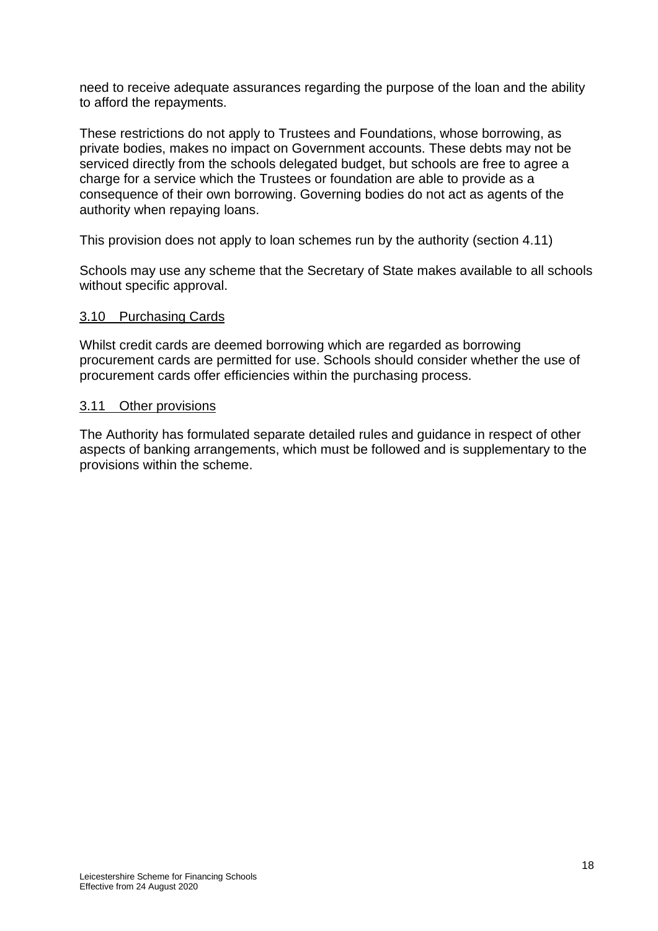need to receive adequate assurances regarding the purpose of the loan and the ability to afford the repayments.

These restrictions do not apply to Trustees and Foundations, whose borrowing, as private bodies, makes no impact on Government accounts. These debts may not be serviced directly from the schools delegated budget, but schools are free to agree a charge for a service which the Trustees or foundation are able to provide as a consequence of their own borrowing. Governing bodies do not act as agents of the authority when repaying loans.

This provision does not apply to loan schemes run by the authority (section 4.11)

Schools may use any scheme that the Secretary of State makes available to all schools without specific approval.

### 3.10 Purchasing Cards

Whilst credit cards are deemed borrowing which are regarded as borrowing procurement cards are permitted for use. Schools should consider whether the use of procurement cards offer efficiencies within the purchasing process.

#### 3.11 Other provisions

The Authority has formulated separate detailed rules and guidance in respect of other aspects of banking arrangements, which must be followed and is supplementary to the provisions within the scheme.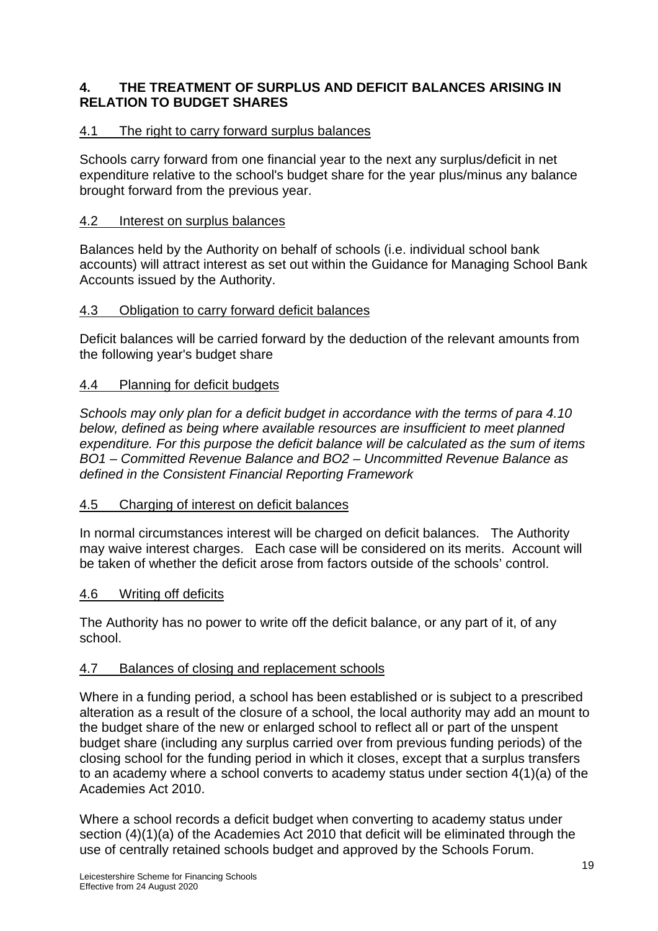# **4. THE TREATMENT OF SURPLUS AND DEFICIT BALANCES ARISING IN RELATION TO BUDGET SHARES**

# 4.1 The right to carry forward surplus balances

Schools carry forward from one financial year to the next any surplus/deficit in net expenditure relative to the school's budget share for the year plus/minus any balance brought forward from the previous year.

# 4.2 Interest on surplus balances

Balances held by the Authority on behalf of schools (i.e. individual school bank accounts) will attract interest as set out within the Guidance for Managing School Bank Accounts issued by the Authority.

### 4.3 Obligation to carry forward deficit balances

Deficit balances will be carried forward by the deduction of the relevant amounts from the following year's budget share

# 4.4 Planning for deficit budgets

*Schools may only plan for a deficit budget in accordance with the terms of para 4.10 below, defined as being where available resources are insufficient to meet planned expenditure. For this purpose the deficit balance will be calculated as the sum of items BO1 – Committed Revenue Balance and BO2 – Uncommitted Revenue Balance as defined in the Consistent Financial Reporting Framework* 

### 4.5 Charging of interest on deficit balances

In normal circumstances interest will be charged on deficit balances. The Authority may waive interest charges. Each case will be considered on its merits. Account will be taken of whether the deficit arose from factors outside of the schools' control.

### 4.6 Writing off deficits

The Authority has no power to write off the deficit balance, or any part of it, of any school.

### 4.7 Balances of closing and replacement schools

Where in a funding period, a school has been established or is subject to a prescribed alteration as a result of the closure of a school, the local authority may add an mount to the budget share of the new or enlarged school to reflect all or part of the unspent budget share (including any surplus carried over from previous funding periods) of the closing school for the funding period in which it closes, except that a surplus transfers to an academy where a school converts to academy status under section 4(1)(a) of the Academies Act 2010.

Where a school records a deficit budget when converting to academy status under section (4)(1)(a) of the Academies Act 2010 that deficit will be eliminated through the use of centrally retained schools budget and approved by the Schools Forum.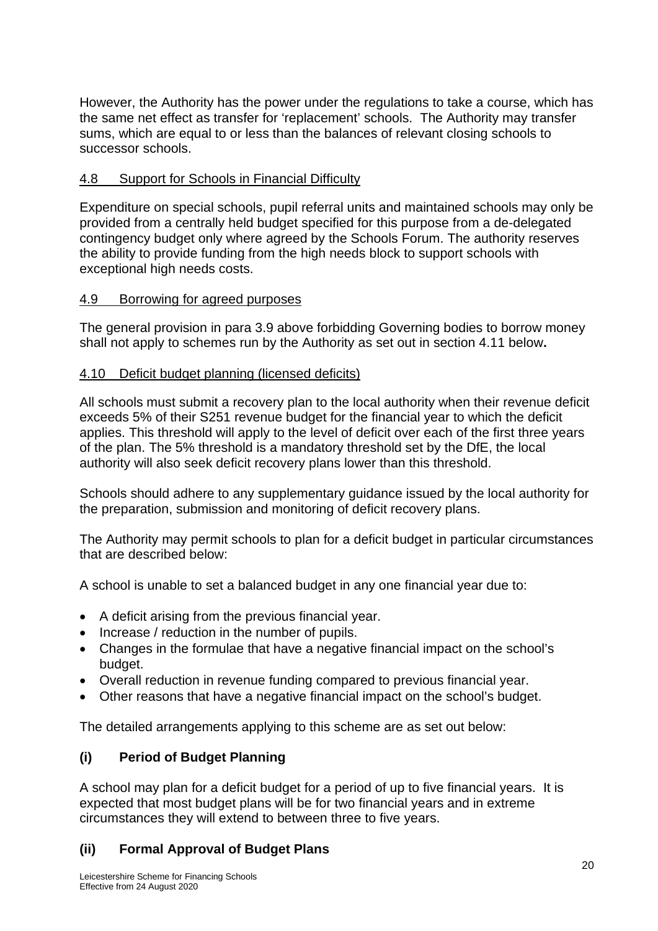However, the Authority has the power under the regulations to take a course, which has the same net effect as transfer for 'replacement' schools. The Authority may transfer sums, which are equal to or less than the balances of relevant closing schools to successor schools.

# 4.8 Support for Schools in Financial Difficulty

Expenditure on special schools, pupil referral units and maintained schools may only be provided from a centrally held budget specified for this purpose from a de-delegated contingency budget only where agreed by the Schools Forum. The authority reserves the ability to provide funding from the high needs block to support schools with exceptional high needs costs.

# 4.9 Borrowing for agreed purposes

The general provision in para 3.9 above forbidding Governing bodies to borrow money shall not apply to schemes run by the Authority as set out in section 4.11 below**.** 

# 4.10 Deficit budget planning (licensed deficits)

All schools must submit a recovery plan to the local authority when their revenue deficit exceeds 5% of their S251 revenue budget for the financial year to which the deficit applies. This threshold will apply to the level of deficit over each of the first three years of the plan. The 5% threshold is a mandatory threshold set by the DfE, the local authority will also seek deficit recovery plans lower than this threshold.

Schools should adhere to any supplementary guidance issued by the local authority for the preparation, submission and monitoring of deficit recovery plans.

The Authority may permit schools to plan for a deficit budget in particular circumstances that are described below:

A school is unable to set a balanced budget in any one financial year due to:

- A deficit arising from the previous financial year.
- Increase / reduction in the number of pupils.
- Changes in the formulae that have a negative financial impact on the school's budget.
- Overall reduction in revenue funding compared to previous financial year.
- Other reasons that have a negative financial impact on the school's budget.

The detailed arrangements applying to this scheme are as set out below:

# **(i) Period of Budget Planning**

A school may plan for a deficit budget for a period of up to five financial years. It is expected that most budget plans will be for two financial years and in extreme circumstances they will extend to between three to five years.

# **(ii) Formal Approval of Budget Plans**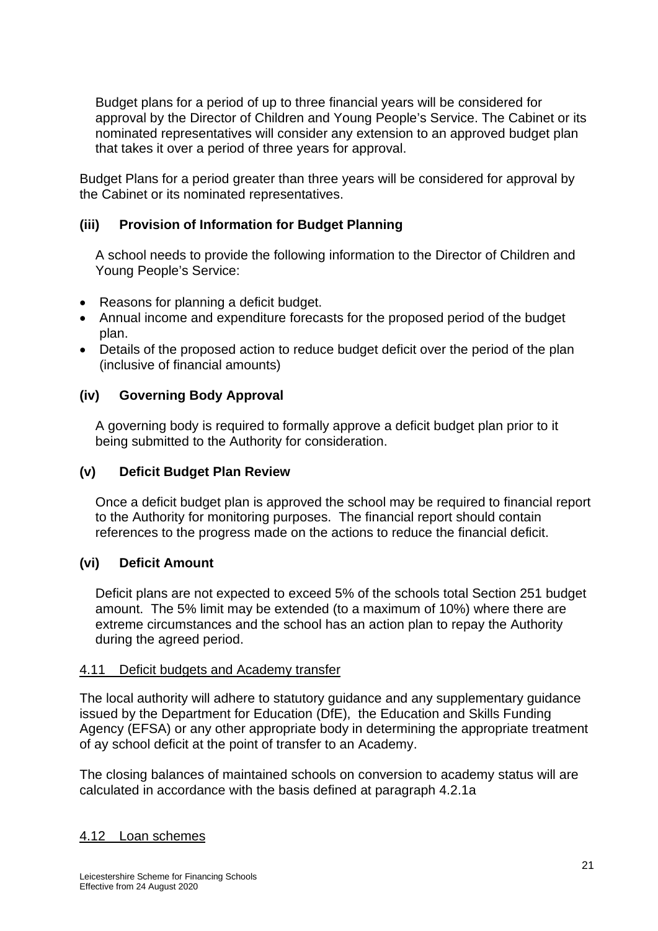Budget plans for a period of up to three financial years will be considered for approval by the Director of Children and Young People's Service. The Cabinet or its nominated representatives will consider any extension to an approved budget plan that takes it over a period of three years for approval.

Budget Plans for a period greater than three years will be considered for approval by the Cabinet or its nominated representatives.

# **(iii) Provision of Information for Budget Planning**

A school needs to provide the following information to the Director of Children and Young People's Service:

- Reasons for planning a deficit budget.
- Annual income and expenditure forecasts for the proposed period of the budget plan.
- Details of the proposed action to reduce budget deficit over the period of the plan (inclusive of financial amounts)

### **(iv) Governing Body Approval**

A governing body is required to formally approve a deficit budget plan prior to it being submitted to the Authority for consideration.

### **(v) Deficit Budget Plan Review**

Once a deficit budget plan is approved the school may be required to financial report to the Authority for monitoring purposes. The financial report should contain references to the progress made on the actions to reduce the financial deficit.

### **(vi) Deficit Amount**

Deficit plans are not expected to exceed 5% of the schools total Section 251 budget amount. The 5% limit may be extended (to a maximum of 10%) where there are extreme circumstances and the school has an action plan to repay the Authority during the agreed period.

### 4.11 Deficit budgets and Academy transfer

The local authority will adhere to statutory guidance and any supplementary guidance issued by the Department for Education (DfE), the Education and Skills Funding Agency (EFSA) or any other appropriate body in determining the appropriate treatment of ay school deficit at the point of transfer to an Academy.

The closing balances of maintained schools on conversion to academy status will are calculated in accordance with the basis defined at paragraph 4.2.1a

### 4.12 Loan schemes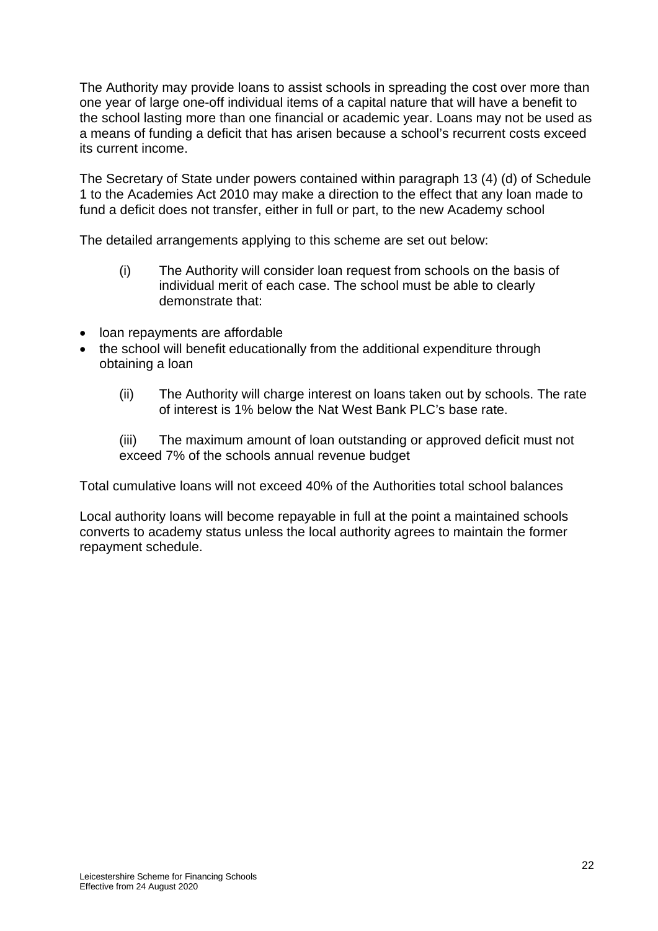The Authority may provide loans to assist schools in spreading the cost over more than one year of large one-off individual items of a capital nature that will have a benefit to the school lasting more than one financial or academic year. Loans may not be used as a means of funding a deficit that has arisen because a school's recurrent costs exceed its current income.

The Secretary of State under powers contained within paragraph 13 (4) (d) of Schedule 1 to the Academies Act 2010 may make a direction to the effect that any loan made to fund a deficit does not transfer, either in full or part, to the new Academy school

The detailed arrangements applying to this scheme are set out below:

- (i) The Authority will consider loan request from schools on the basis of individual merit of each case. The school must be able to clearly demonstrate that:
- loan repayments are affordable
- the school will benefit educationally from the additional expenditure through obtaining a loan
	- (ii) The Authority will charge interest on loans taken out by schools. The rate of interest is 1% below the Nat West Bank PLC's base rate.
	- (iii) The maximum amount of loan outstanding or approved deficit must not exceed 7% of the schools annual revenue budget

Total cumulative loans will not exceed 40% of the Authorities total school balances

Local authority loans will become repayable in full at the point a maintained schools converts to academy status unless the local authority agrees to maintain the former repayment schedule.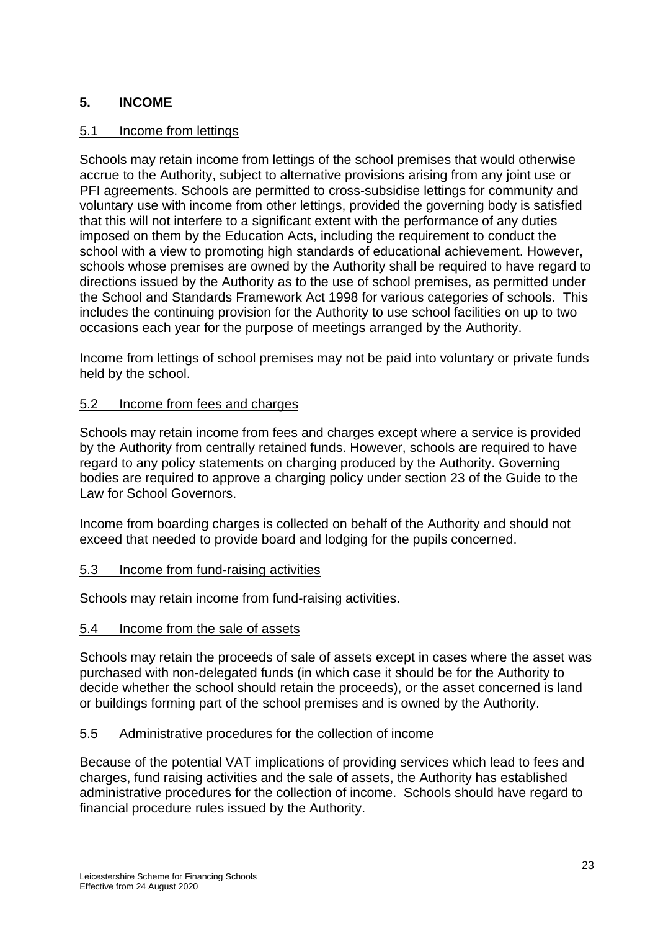# **5. INCOME**

### 5.1 Income from lettings

Schools may retain income from lettings of the school premises that would otherwise accrue to the Authority, subject to alternative provisions arising from any joint use or PFI agreements. Schools are permitted to cross-subsidise lettings for community and voluntary use with income from other lettings, provided the governing body is satisfied that this will not interfere to a significant extent with the performance of any duties imposed on them by the Education Acts, including the requirement to conduct the school with a view to promoting high standards of educational achievement. However, schools whose premises are owned by the Authority shall be required to have regard to directions issued by the Authority as to the use of school premises, as permitted under the School and Standards Framework Act 1998 for various categories of schools. This includes the continuing provision for the Authority to use school facilities on up to two occasions each year for the purpose of meetings arranged by the Authority.

Income from lettings of school premises may not be paid into voluntary or private funds held by the school.

### 5.2 Income from fees and charges

Schools may retain income from fees and charges except where a service is provided by the Authority from centrally retained funds. However, schools are required to have regard to any policy statements on charging produced by the Authority. Governing bodies are required to approve a charging policy under section 23 of the Guide to the Law for School Governors.

Income from boarding charges is collected on behalf of the Authority and should not exceed that needed to provide board and lodging for the pupils concerned.

### 5.3 Income from fund-raising activities

Schools may retain income from fund-raising activities.

### 5.4 Income from the sale of assets

Schools may retain the proceeds of sale of assets except in cases where the asset was purchased with non-delegated funds (in which case it should be for the Authority to decide whether the school should retain the proceeds), or the asset concerned is land or buildings forming part of the school premises and is owned by the Authority.

### 5.5 Administrative procedures for the collection of income

Because of the potential VAT implications of providing services which lead to fees and charges, fund raising activities and the sale of assets, the Authority has established administrative procedures for the collection of income. Schools should have regard to financial procedure rules issued by the Authority.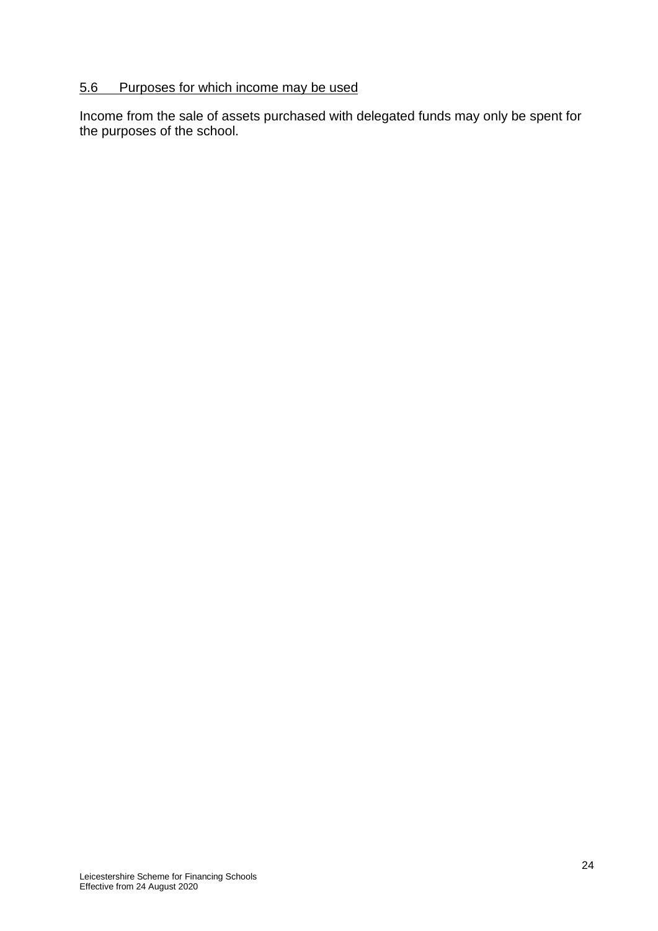# 5.6 Purposes for which income may be used

Income from the sale of assets purchased with delegated funds may only be spent for the purposes of the school.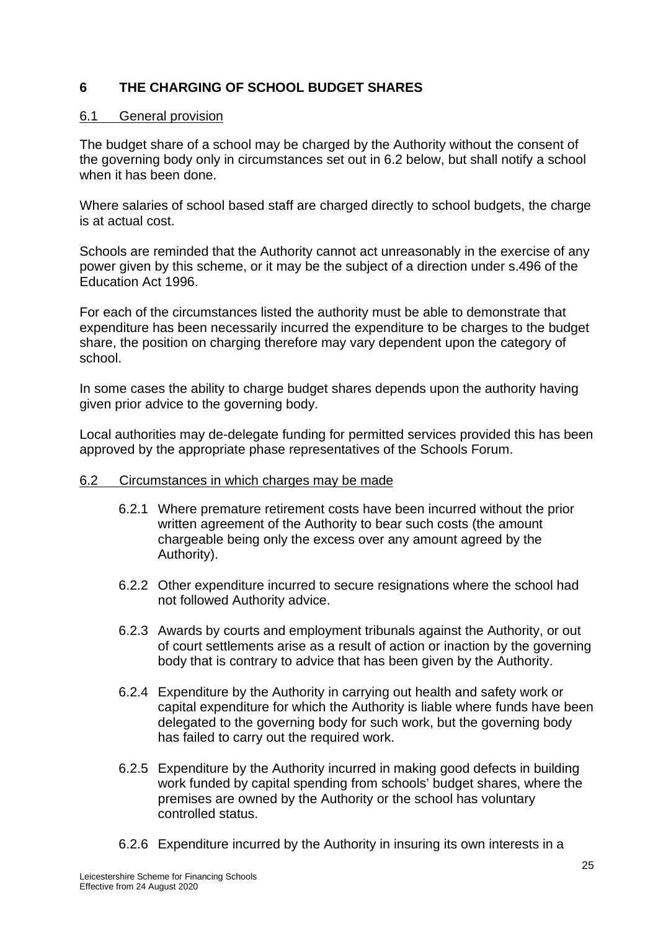# **6 THE CHARGING OF SCHOOL BUDGET SHARES**

#### 6.1 General provision

The budget share of a school may be charged by the Authority without the consent of the governing body only in circumstances set out in 6.2 below, but shall notify a school when it has been done.

Where salaries of school based staff are charged directly to school budgets, the charge is at actual cost.

Schools are reminded that the Authority cannot act unreasonably in the exercise of any power given by this scheme, or it may be the subject of a direction under s.496 of the Education Act 1996.

For each of the circumstances listed the authority must be able to demonstrate that expenditure has been necessarily incurred the expenditure to be charges to the budget share, the position on charging therefore may vary dependent upon the category of school.

In some cases the ability to charge budget shares depends upon the authority having given prior advice to the governing body.

Local authorities may de-delegate funding for permitted services provided this has been approved by the appropriate phase representatives of the Schools Forum.

### 6.2 Circumstances in which charges may be made

- 6.2.1 Where premature retirement costs have been incurred without the prior written agreement of the Authority to bear such costs (the amount chargeable being only the excess over any amount agreed by the Authority).
- 6.2.2 Other expenditure incurred to secure resignations where the school had not followed Authority advice.
- 6.2.3 Awards by courts and employment tribunals against the Authority, or out of court settlements arise as a result of action or inaction by the governing body that is contrary to advice that has been given by the Authority.
- 6.2.4 Expenditure by the Authority in carrying out health and safety work or capital expenditure for which the Authority is liable where funds have been delegated to the governing body for such work, but the governing body has failed to carry out the required work.
- 6.2.5 Expenditure by the Authority incurred in making good defects in building work funded by capital spending from schools' budget shares, where the premises are owned by the Authority or the school has voluntary controlled status.
- 6.2.6 Expenditure incurred by the Authority in insuring its own interests in a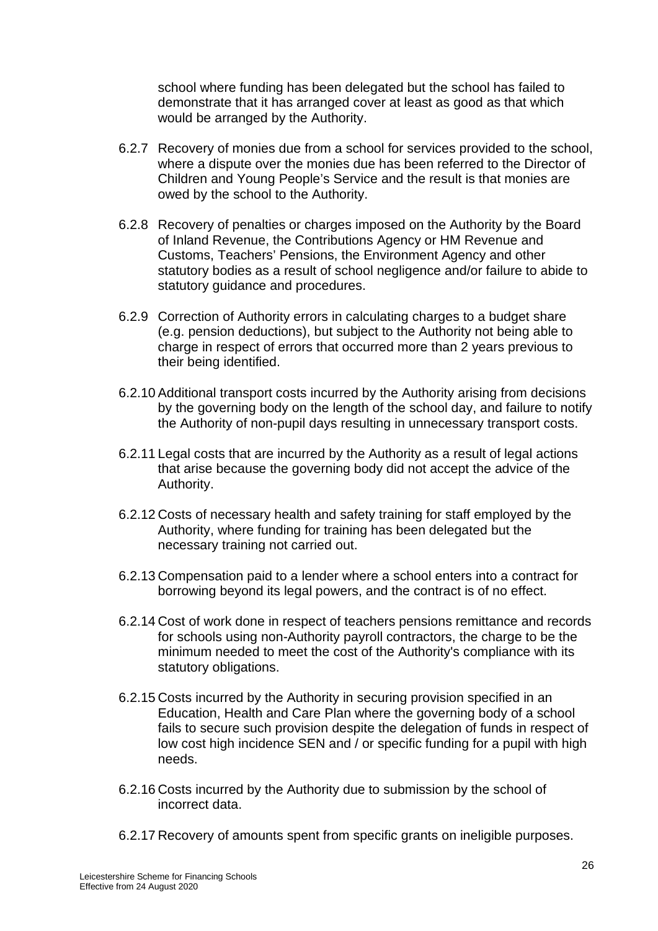school where funding has been delegated but the school has failed to demonstrate that it has arranged cover at least as good as that which would be arranged by the Authority.

- 6.2.7 Recovery of monies due from a school for services provided to the school, where a dispute over the monies due has been referred to the Director of Children and Young People's Service and the result is that monies are owed by the school to the Authority.
- 6.2.8 Recovery of penalties or charges imposed on the Authority by the Board of Inland Revenue, the Contributions Agency or HM Revenue and Customs, Teachers' Pensions, the Environment Agency and other statutory bodies as a result of school negligence and/or failure to abide to statutory guidance and procedures.
- 6.2.9 Correction of Authority errors in calculating charges to a budget share (e.g. pension deductions), but subject to the Authority not being able to charge in respect of errors that occurred more than 2 years previous to their being identified.
- 6.2.10 Additional transport costs incurred by the Authority arising from decisions by the governing body on the length of the school day, and failure to notify the Authority of non-pupil days resulting in unnecessary transport costs.
- 6.2.11 Legal costs that are incurred by the Authority as a result of legal actions that arise because the governing body did not accept the advice of the Authority.
- 6.2.12 Costs of necessary health and safety training for staff employed by the Authority, where funding for training has been delegated but the necessary training not carried out.
- 6.2.13 Compensation paid to a lender where a school enters into a contract for borrowing beyond its legal powers, and the contract is of no effect.
- 6.2.14 Cost of work done in respect of teachers pensions remittance and records for schools using non-Authority payroll contractors, the charge to be the minimum needed to meet the cost of the Authority's compliance with its statutory obligations.
- 6.2.15 Costs incurred by the Authority in securing provision specified in an Education, Health and Care Plan where the governing body of a school fails to secure such provision despite the delegation of funds in respect of low cost high incidence SEN and / or specific funding for a pupil with high needs.
- 6.2.16 Costs incurred by the Authority due to submission by the school of incorrect data.
- 6.2.17 Recovery of amounts spent from specific grants on ineligible purposes.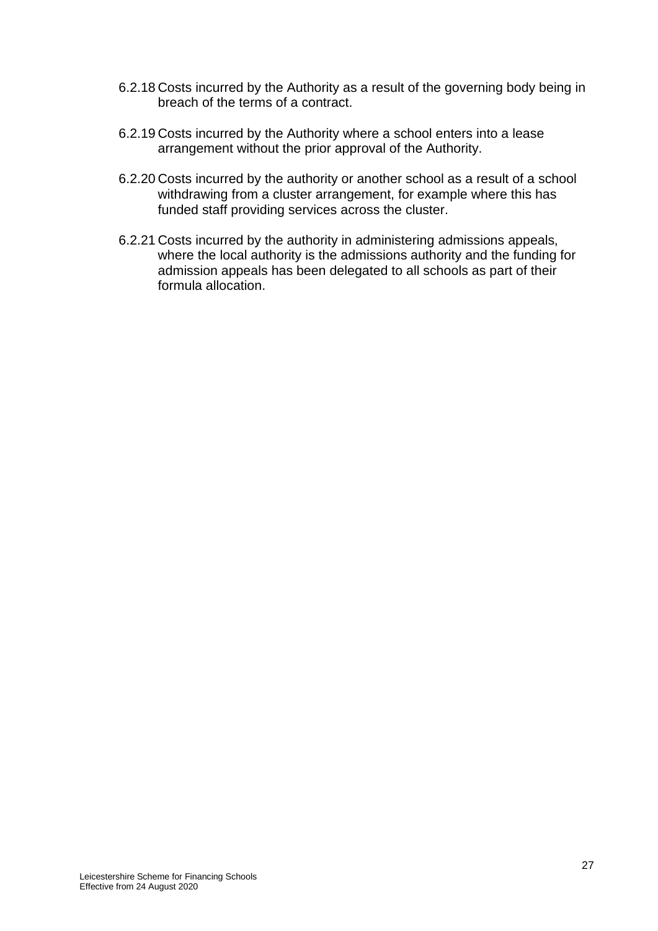- 6.2.18 Costs incurred by the Authority as a result of the governing body being in breach of the terms of a contract.
- 6.2.19 Costs incurred by the Authority where a school enters into a lease arrangement without the prior approval of the Authority.
- 6.2.20 Costs incurred by the authority or another school as a result of a school withdrawing from a cluster arrangement, for example where this has funded staff providing services across the cluster.
- 6.2.21 Costs incurred by the authority in administering admissions appeals, where the local authority is the admissions authority and the funding for admission appeals has been delegated to all schools as part of their formula allocation.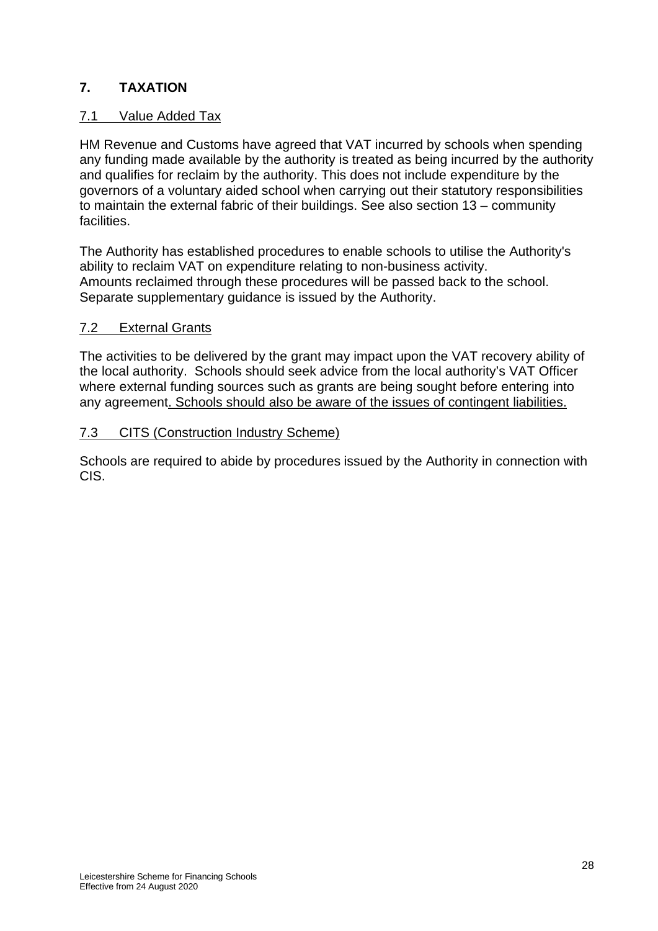# **7. TAXATION**

# 7.1 Value Added Tax

HM Revenue and Customs have agreed that VAT incurred by schools when spending any funding made available by the authority is treated as being incurred by the authority and qualifies for reclaim by the authority. This does not include expenditure by the governors of a voluntary aided school when carrying out their statutory responsibilities to maintain the external fabric of their buildings. See also section 13 – community facilities.

The Authority has established procedures to enable schools to utilise the Authority's ability to reclaim VAT on expenditure relating to non-business activity. Amounts reclaimed through these procedures will be passed back to the school. Separate supplementary guidance is issued by the Authority.

### 7.2 External Grants

The activities to be delivered by the grant may impact upon the VAT recovery ability of the local authority. Schools should seek advice from the local authority's VAT Officer where external funding sources such as grants are being sought before entering into any agreement. Schools should also be aware of the issues of contingent liabilities.

### 7.3 CITS (Construction Industry Scheme)

Schools are required to abide by procedures issued by the Authority in connection with CIS.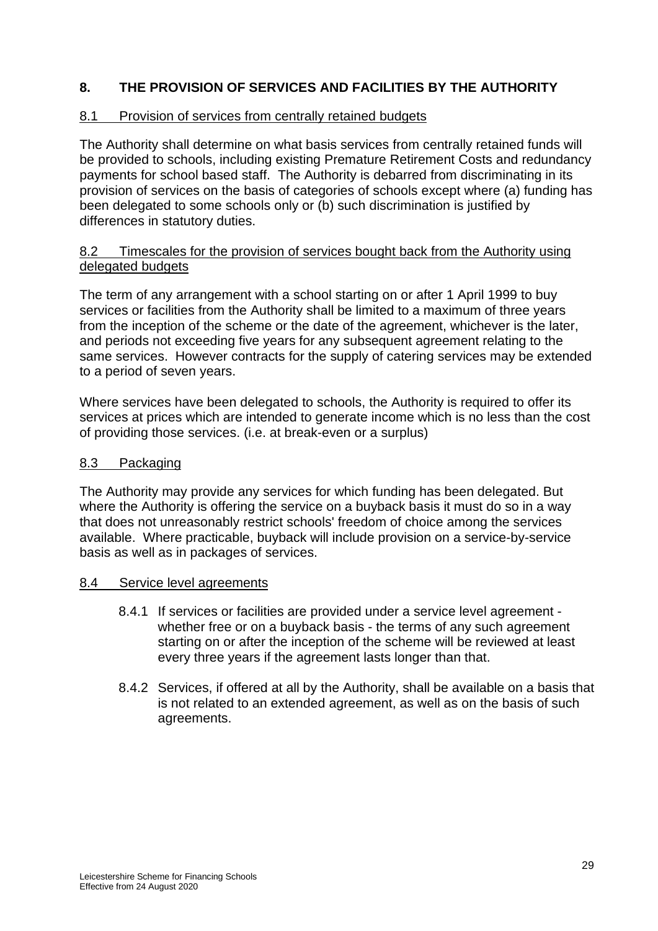# **8. THE PROVISION OF SERVICES AND FACILITIES BY THE AUTHORITY**

### 8.1 Provision of services from centrally retained budgets

The Authority shall determine on what basis services from centrally retained funds will be provided to schools, including existing Premature Retirement Costs and redundancy payments for school based staff. The Authority is debarred from discriminating in its provision of services on the basis of categories of schools except where (a) funding has been delegated to some schools only or (b) such discrimination is justified by differences in statutory duties.

### 8.2 Timescales for the provision of services bought back from the Authority using delegated budgets

The term of any arrangement with a school starting on or after 1 April 1999 to buy services or facilities from the Authority shall be limited to a maximum of three years from the inception of the scheme or the date of the agreement, whichever is the later, and periods not exceeding five years for any subsequent agreement relating to the same services. However contracts for the supply of catering services may be extended to a period of seven years.

Where services have been delegated to schools, the Authority is required to offer its services at prices which are intended to generate income which is no less than the cost of providing those services. (i.e. at break-even or a surplus)

### 8.3 Packaging

The Authority may provide any services for which funding has been delegated. But where the Authority is offering the service on a buyback basis it must do so in a way that does not unreasonably restrict schools' freedom of choice among the services available. Where practicable, buyback will include provision on a service-by-service basis as well as in packages of services.

### 8.4 Service level agreements

- 8.4.1 If services or facilities are provided under a service level agreement whether free or on a buyback basis - the terms of any such agreement starting on or after the inception of the scheme will be reviewed at least every three years if the agreement lasts longer than that.
- 8.4.2 Services, if offered at all by the Authority, shall be available on a basis that is not related to an extended agreement, as well as on the basis of such agreements.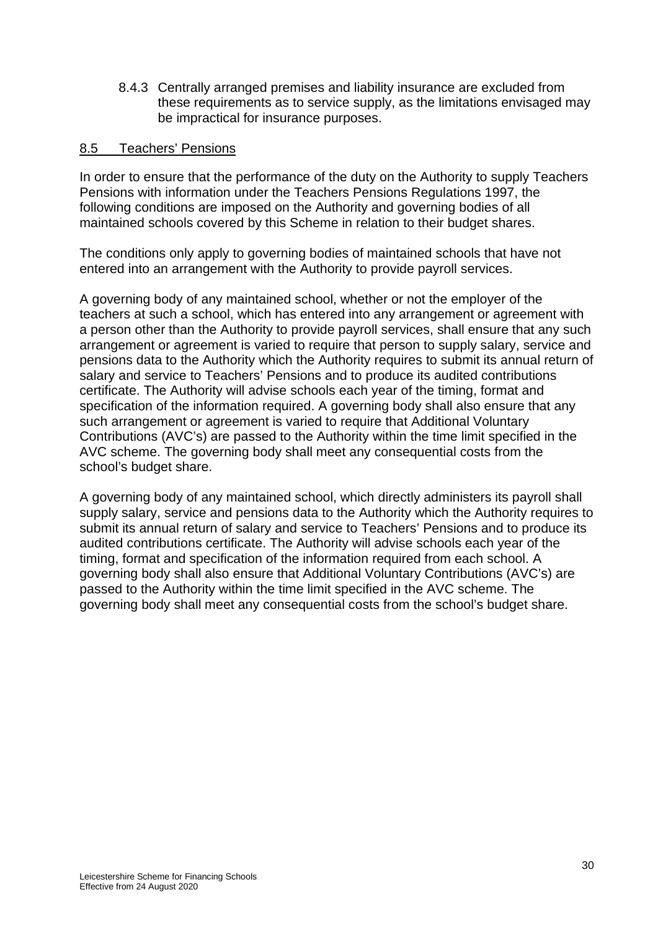8.4.3 Centrally arranged premises and liability insurance are excluded from these requirements as to service supply, as the limitations envisaged may be impractical for insurance purposes.

#### 8.5 Teachers' Pensions

In order to ensure that the performance of the duty on the Authority to supply Teachers Pensions with information under the Teachers Pensions Regulations 1997, the following conditions are imposed on the Authority and governing bodies of all maintained schools covered by this Scheme in relation to their budget shares.

The conditions only apply to governing bodies of maintained schools that have not entered into an arrangement with the Authority to provide payroll services.

A governing body of any maintained school, whether or not the employer of the teachers at such a school, which has entered into any arrangement or agreement with a person other than the Authority to provide payroll services, shall ensure that any such arrangement or agreement is varied to require that person to supply salary, service and pensions data to the Authority which the Authority requires to submit its annual return of salary and service to Teachers' Pensions and to produce its audited contributions certificate. The Authority will advise schools each year of the timing, format and specification of the information required. A governing body shall also ensure that any such arrangement or agreement is varied to require that Additional Voluntary Contributions (AVC's) are passed to the Authority within the time limit specified in the AVC scheme. The governing body shall meet any consequential costs from the school's budget share.

A governing body of any maintained school, which directly administers its payroll shall supply salary, service and pensions data to the Authority which the Authority requires to submit its annual return of salary and service to Teachers' Pensions and to produce its audited contributions certificate. The Authority will advise schools each year of the timing, format and specification of the information required from each school. A governing body shall also ensure that Additional Voluntary Contributions (AVC's) are passed to the Authority within the time limit specified in the AVC scheme. The governing body shall meet any consequential costs from the school's budget share.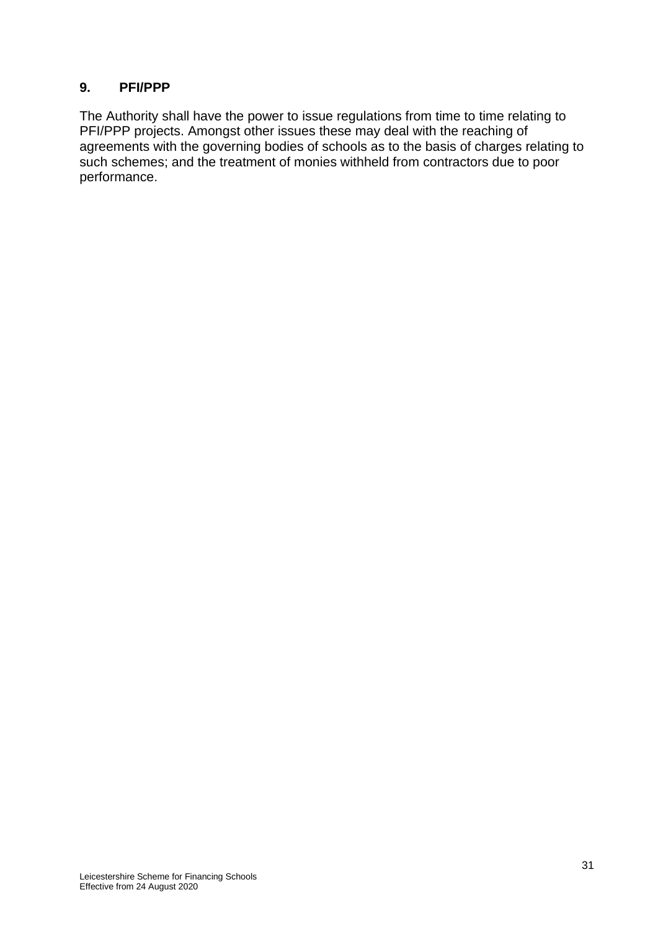# **9. PFI/PPP**

The Authority shall have the power to issue regulations from time to time relating to PFI/PPP projects. Amongst other issues these may deal with the reaching of agreements with the governing bodies of schools as to the basis of charges relating to such schemes; and the treatment of monies withheld from contractors due to poor performance.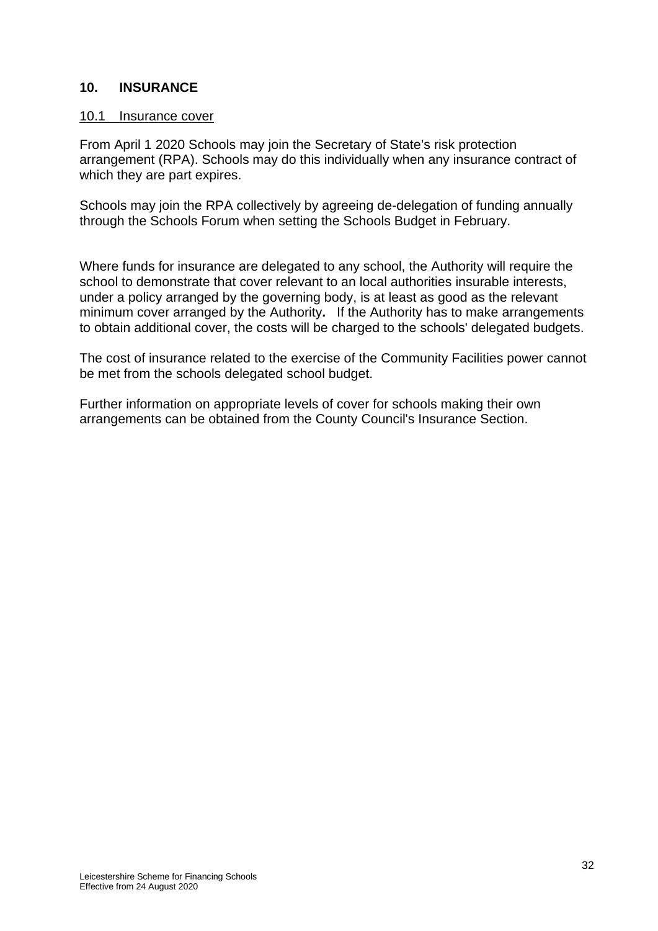### **10. INSURANCE**

#### 10.1 Insurance cover

From April 1 2020 Schools may join the Secretary of State's risk protection arrangement (RPA). Schools may do this individually when any insurance contract of which they are part expires.

Schools may join the RPA collectively by agreeing de-delegation of funding annually through the Schools Forum when setting the Schools Budget in February.

Where funds for insurance are delegated to any school, the Authority will require the school to demonstrate that cover relevant to an local authorities insurable interests, under a policy arranged by the governing body, is at least as good as the relevant minimum cover arranged by the Authority**.** If the Authority has to make arrangements to obtain additional cover, the costs will be charged to the schools' delegated budgets.

The cost of insurance related to the exercise of the Community Facilities power cannot be met from the schools delegated school budget.

Further information on appropriate levels of cover for schools making their own arrangements can be obtained from the County Council's Insurance Section.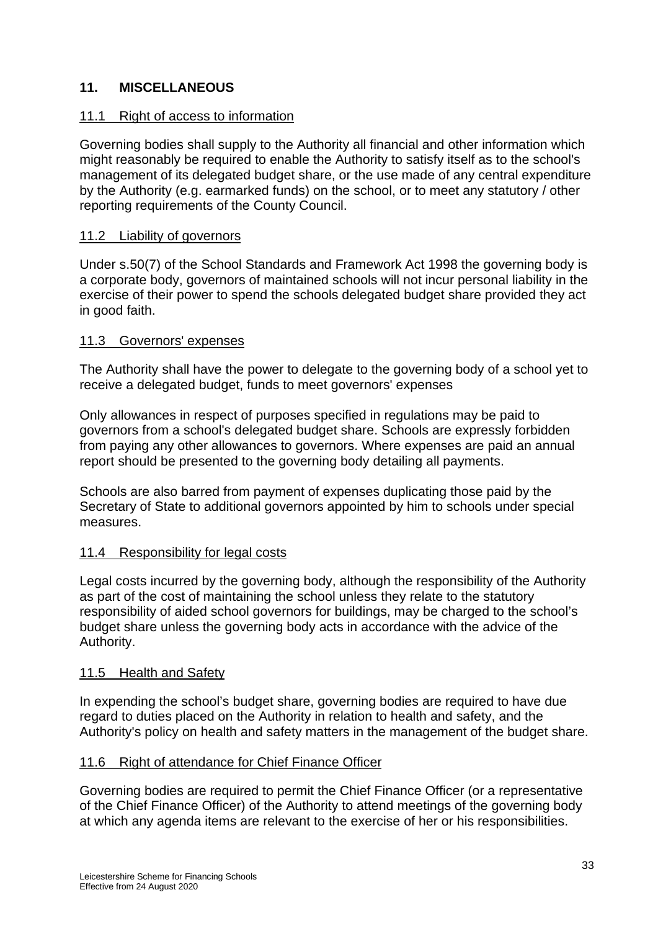# **11. MISCELLANEOUS**

#### 11.1 Right of access to information

Governing bodies shall supply to the Authority all financial and other information which might reasonably be required to enable the Authority to satisfy itself as to the school's management of its delegated budget share, or the use made of any central expenditure by the Authority (e.g. earmarked funds) on the school, or to meet any statutory / other reporting requirements of the County Council.

#### 11.2 Liability of governors

Under s.50(7) of the School Standards and Framework Act 1998 the governing body is a corporate body, governors of maintained schools will not incur personal liability in the exercise of their power to spend the schools delegated budget share provided they act in good faith.

#### 11.3 Governors' expenses

The Authority shall have the power to delegate to the governing body of a school yet to receive a delegated budget, funds to meet governors' expenses

Only allowances in respect of purposes specified in regulations may be paid to governors from a school's delegated budget share. Schools are expressly forbidden from paying any other allowances to governors. Where expenses are paid an annual report should be presented to the governing body detailing all payments.

Schools are also barred from payment of expenses duplicating those paid by the Secretary of State to additional governors appointed by him to schools under special measures.

### 11.4 Responsibility for legal costs

Legal costs incurred by the governing body, although the responsibility of the Authority as part of the cost of maintaining the school unless they relate to the statutory responsibility of aided school governors for buildings, may be charged to the school's budget share unless the governing body acts in accordance with the advice of the Authority.

#### 11.5 Health and Safety

In expending the school's budget share, governing bodies are required to have due regard to duties placed on the Authority in relation to health and safety, and the Authority's policy on health and safety matters in the management of the budget share.

#### 11.6 Right of attendance for Chief Finance Officer

Governing bodies are required to permit the Chief Finance Officer (or a representative of the Chief Finance Officer) of the Authority to attend meetings of the governing body at which any agenda items are relevant to the exercise of her or his responsibilities.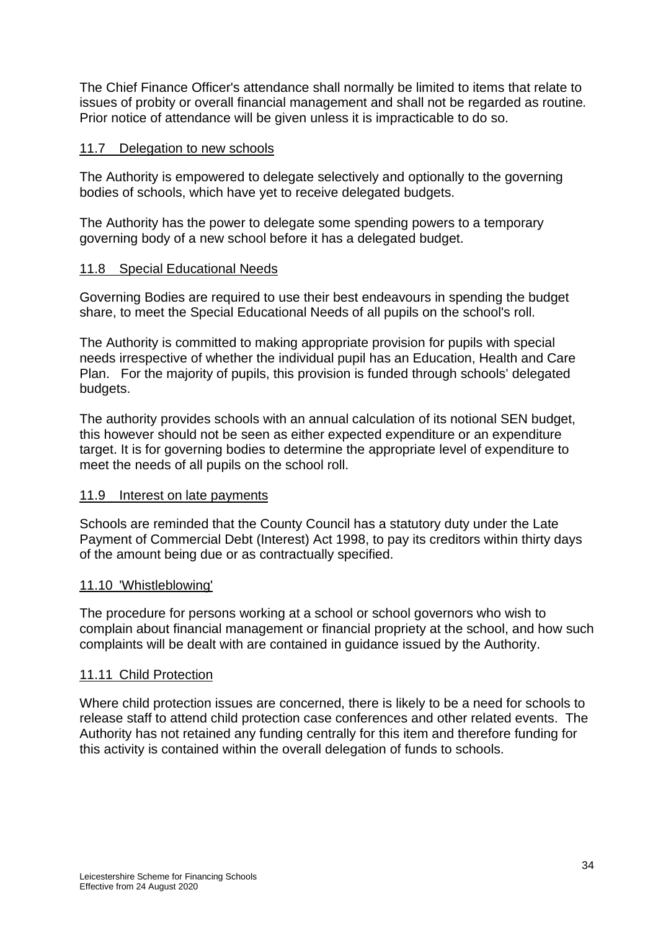The Chief Finance Officer's attendance shall normally be limited to items that relate to issues of probity or overall financial management and shall not be regarded as routine*.*  Prior notice of attendance will be given unless it is impracticable to do so.

#### 11.7 Delegation to new schools

The Authority is empowered to delegate selectively and optionally to the governing bodies of schools, which have yet to receive delegated budgets.

The Authority has the power to delegate some spending powers to a temporary governing body of a new school before it has a delegated budget.

### 11.8 Special Educational Needs

Governing Bodies are required to use their best endeavours in spending the budget share, to meet the Special Educational Needs of all pupils on the school's roll.

The Authority is committed to making appropriate provision for pupils with special needs irrespective of whether the individual pupil has an Education, Health and Care Plan. For the majority of pupils, this provision is funded through schools' delegated budgets.

The authority provides schools with an annual calculation of its notional SEN budget, this however should not be seen as either expected expenditure or an expenditure target. It is for governing bodies to determine the appropriate level of expenditure to meet the needs of all pupils on the school roll.

### 11.9 Interest on late payments

Schools are reminded that the County Council has a statutory duty under the Late Payment of Commercial Debt (Interest) Act 1998, to pay its creditors within thirty days of the amount being due or as contractually specified.

#### 11.10 'Whistleblowing'

The procedure for persons working at a school or school governors who wish to complain about financial management or financial propriety at the school, and how such complaints will be dealt with are contained in guidance issued by the Authority.

### 11.11 Child Protection

Where child protection issues are concerned, there is likely to be a need for schools to release staff to attend child protection case conferences and other related events. The Authority has not retained any funding centrally for this item and therefore funding for this activity is contained within the overall delegation of funds to schools.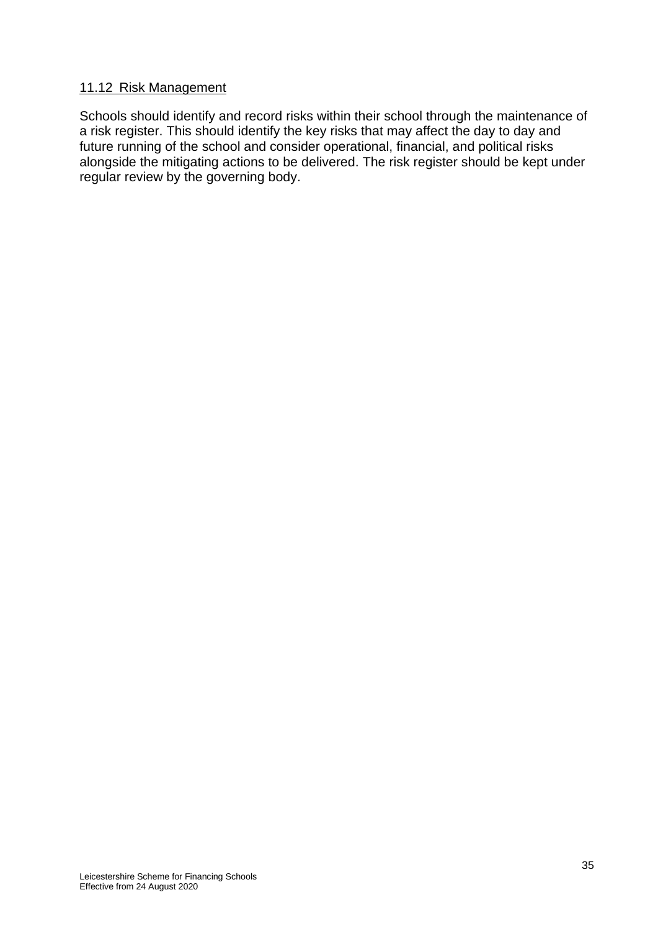# 11.12 Risk Management

Schools should identify and record risks within their school through the maintenance of a risk register. This should identify the key risks that may affect the day to day and future running of the school and consider operational, financial, and political risks alongside the mitigating actions to be delivered. The risk register should be kept under regular review by the governing body.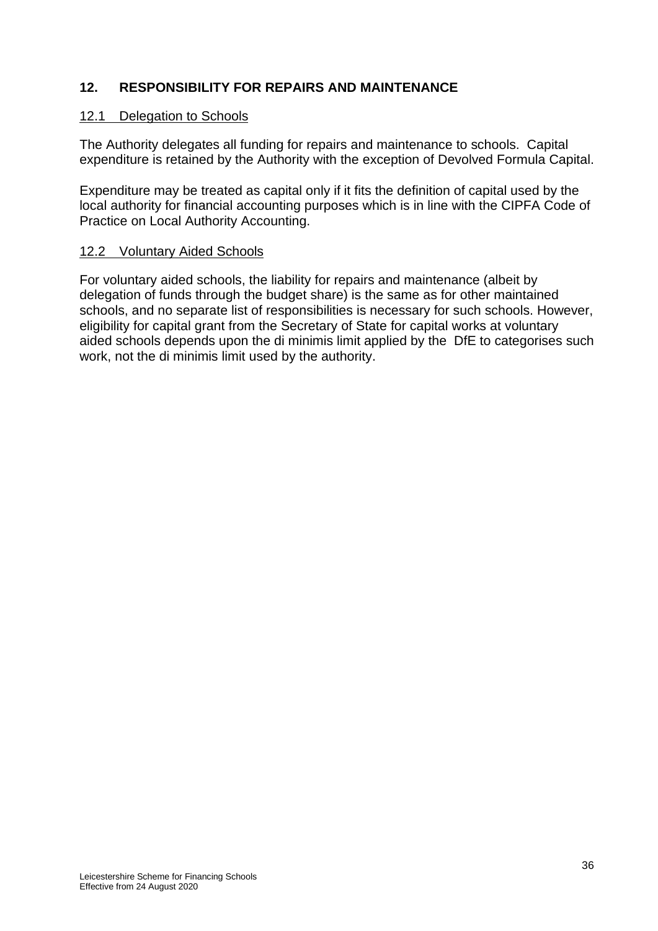# **12. RESPONSIBILITY FOR REPAIRS AND MAINTENANCE**

### 12.1 Delegation to Schools

The Authority delegates all funding for repairs and maintenance to schools. Capital expenditure is retained by the Authority with the exception of Devolved Formula Capital.

Expenditure may be treated as capital only if it fits the definition of capital used by the local authority for financial accounting purposes which is in line with the CIPFA Code of Practice on Local Authority Accounting.

### 12.2 Voluntary Aided Schools

For voluntary aided schools, the liability for repairs and maintenance (albeit by delegation of funds through the budget share) is the same as for other maintained schools, and no separate list of responsibilities is necessary for such schools. However, eligibility for capital grant from the Secretary of State for capital works at voluntary aided schools depends upon the di minimis limit applied by the DfE to categorises such work, not the di minimis limit used by the authority.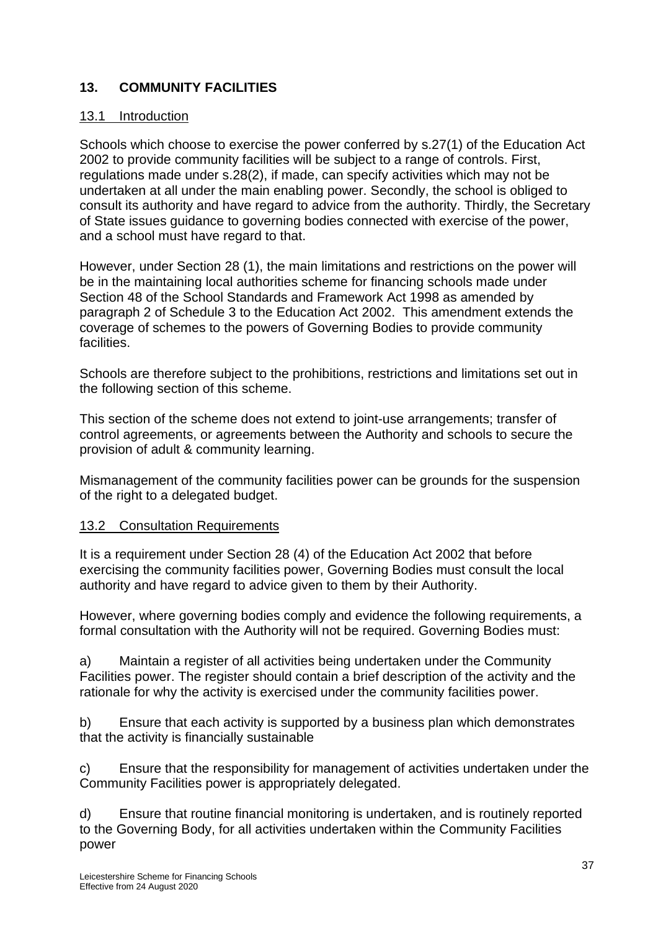# **13. COMMUNITY FACILITIES**

### 13.1 Introduction

Schools which choose to exercise the power conferred by s.27(1) of the Education Act 2002 to provide community facilities will be subject to a range of controls. First, regulations made under s.28(2), if made, can specify activities which may not be undertaken at all under the main enabling power. Secondly, the school is obliged to consult its authority and have regard to advice from the authority. Thirdly, the Secretary of State issues guidance to governing bodies connected with exercise of the power, and a school must have regard to that.

However, under Section 28 (1), the main limitations and restrictions on the power will be in the maintaining local authorities scheme for financing schools made under Section 48 of the School Standards and Framework Act 1998 as amended by paragraph 2 of Schedule 3 to the Education Act 2002. This amendment extends the coverage of schemes to the powers of Governing Bodies to provide community facilities.

Schools are therefore subject to the prohibitions, restrictions and limitations set out in the following section of this scheme.

This section of the scheme does not extend to joint-use arrangements; transfer of control agreements, or agreements between the Authority and schools to secure the provision of adult & community learning.

Mismanagement of the community facilities power can be grounds for the suspension of the right to a delegated budget.

### 13.2 Consultation Requirements

It is a requirement under Section 28 (4) of the Education Act 2002 that before exercising the community facilities power, Governing Bodies must consult the local authority and have regard to advice given to them by their Authority.

However, where governing bodies comply and evidence the following requirements, a formal consultation with the Authority will not be required. Governing Bodies must:

a) Maintain a register of all activities being undertaken under the Community Facilities power. The register should contain a brief description of the activity and the rationale for why the activity is exercised under the community facilities power.

b) Ensure that each activity is supported by a business plan which demonstrates that the activity is financially sustainable

c) Ensure that the responsibility for management of activities undertaken under the Community Facilities power is appropriately delegated.

d) Ensure that routine financial monitoring is undertaken, and is routinely reported to the Governing Body, for all activities undertaken within the Community Facilities power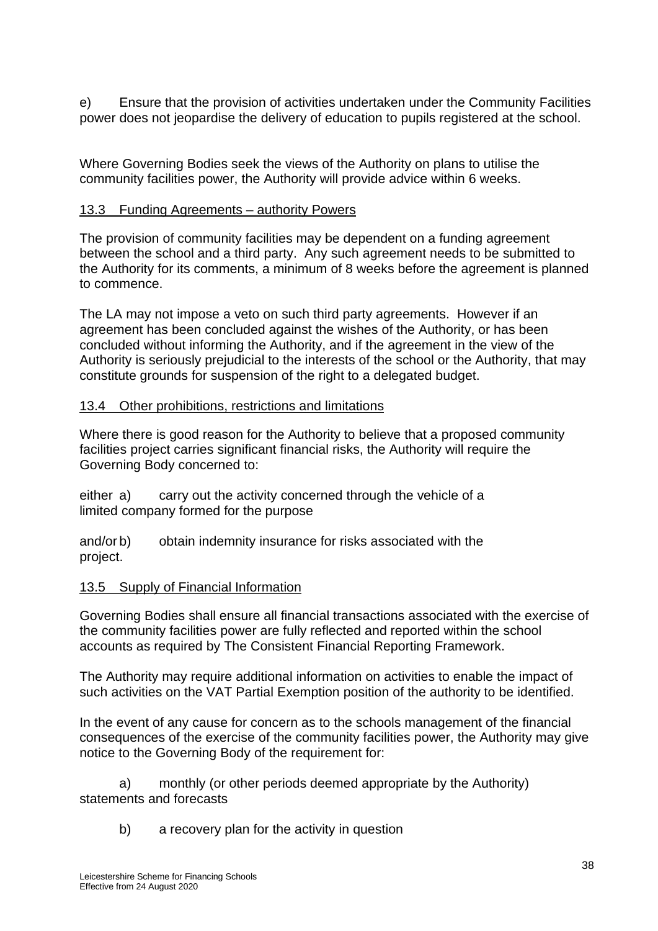e) Ensure that the provision of activities undertaken under the Community Facilities power does not jeopardise the delivery of education to pupils registered at the school.

Where Governing Bodies seek the views of the Authority on plans to utilise the community facilities power, the Authority will provide advice within 6 weeks.

# 13.3 Funding Agreements – authority Powers

The provision of community facilities may be dependent on a funding agreement between the school and a third party. Any such agreement needs to be submitted to the Authority for its comments, a minimum of 8 weeks before the agreement is planned to commence.

The LA may not impose a veto on such third party agreements. However if an agreement has been concluded against the wishes of the Authority, or has been concluded without informing the Authority, and if the agreement in the view of the Authority is seriously prejudicial to the interests of the school or the Authority, that may constitute grounds for suspension of the right to a delegated budget.

# 13.4 Other prohibitions, restrictions and limitations

Where there is good reason for the Authority to believe that a proposed community facilities project carries significant financial risks, the Authority will require the Governing Body concerned to:

either a) carry out the activity concerned through the vehicle of a limited company formed for the purpose

and/or b) obtain indemnity insurance for risks associated with the project.

### 13.5 Supply of Financial Information

Governing Bodies shall ensure all financial transactions associated with the exercise of the community facilities power are fully reflected and reported within the school accounts as required by The Consistent Financial Reporting Framework.

The Authority may require additional information on activities to enable the impact of such activities on the VAT Partial Exemption position of the authority to be identified.

In the event of any cause for concern as to the schools management of the financial consequences of the exercise of the community facilities power, the Authority may give notice to the Governing Body of the requirement for:

a) monthly (or other periods deemed appropriate by the Authority) statements and forecasts

b) a recovery plan for the activity in question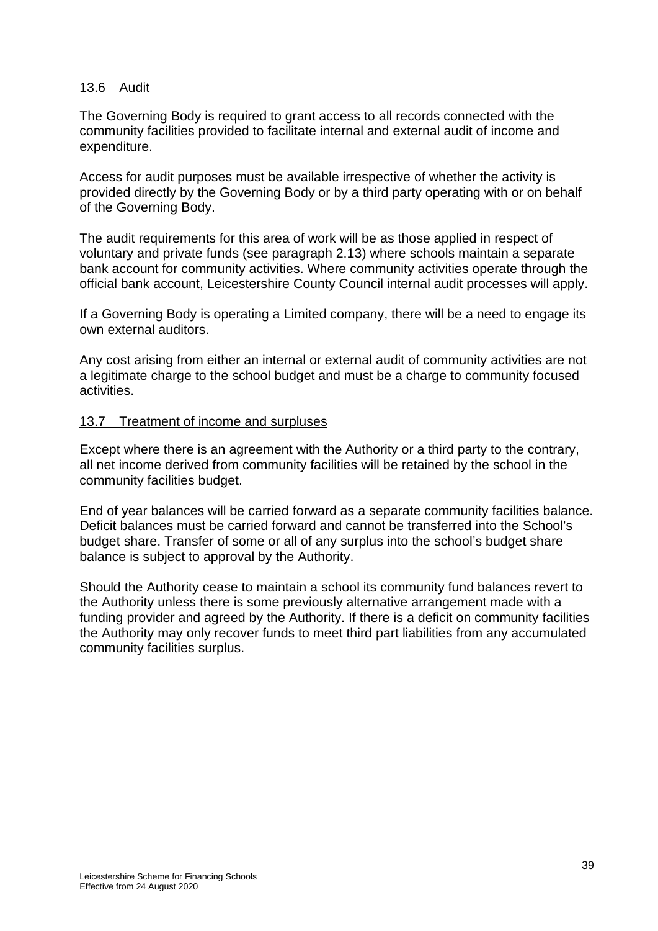### 13.6 Audit

The Governing Body is required to grant access to all records connected with the community facilities provided to facilitate internal and external audit of income and expenditure.

Access for audit purposes must be available irrespective of whether the activity is provided directly by the Governing Body or by a third party operating with or on behalf of the Governing Body.

The audit requirements for this area of work will be as those applied in respect of voluntary and private funds (see paragraph 2.13) where schools maintain a separate bank account for community activities. Where community activities operate through the official bank account, Leicestershire County Council internal audit processes will apply.

If a Governing Body is operating a Limited company, there will be a need to engage its own external auditors.

Any cost arising from either an internal or external audit of community activities are not a legitimate charge to the school budget and must be a charge to community focused activities.

### 13.7 Treatment of income and surpluses

Except where there is an agreement with the Authority or a third party to the contrary, all net income derived from community facilities will be retained by the school in the community facilities budget.

End of year balances will be carried forward as a separate community facilities balance. Deficit balances must be carried forward and cannot be transferred into the School's budget share. Transfer of some or all of any surplus into the school's budget share balance is subject to approval by the Authority.

Should the Authority cease to maintain a school its community fund balances revert to the Authority unless there is some previously alternative arrangement made with a funding provider and agreed by the Authority. If there is a deficit on community facilities the Authority may only recover funds to meet third part liabilities from any accumulated community facilities surplus.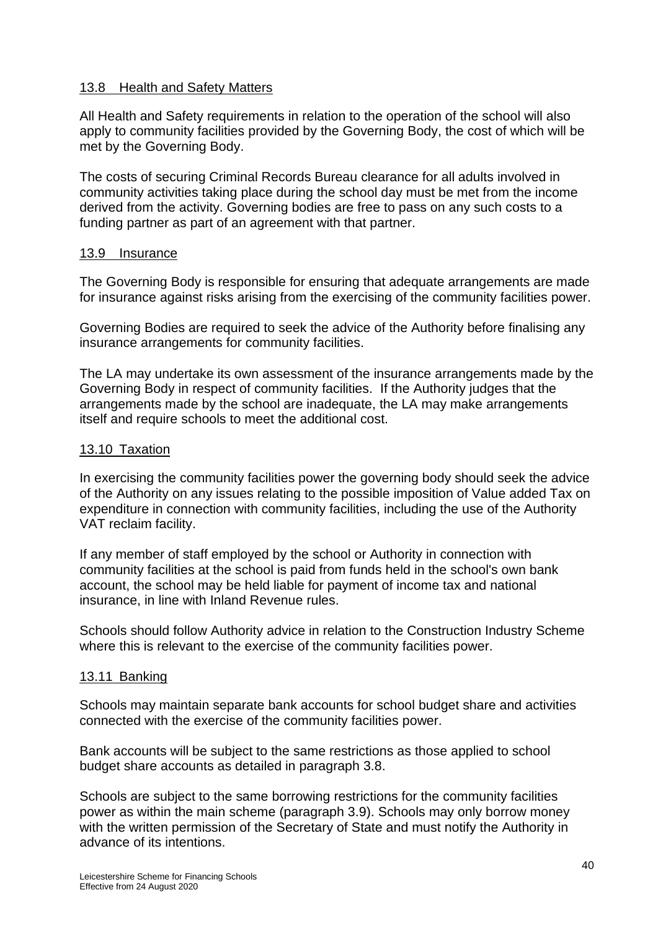### 13.8 Health and Safety Matters

All Health and Safety requirements in relation to the operation of the school will also apply to community facilities provided by the Governing Body, the cost of which will be met by the Governing Body.

The costs of securing Criminal Records Bureau clearance for all adults involved in community activities taking place during the school day must be met from the income derived from the activity. Governing bodies are free to pass on any such costs to a funding partner as part of an agreement with that partner.

### 13.9 Insurance

The Governing Body is responsible for ensuring that adequate arrangements are made for insurance against risks arising from the exercising of the community facilities power.

Governing Bodies are required to seek the advice of the Authority before finalising any insurance arrangements for community facilities.

The LA may undertake its own assessment of the insurance arrangements made by the Governing Body in respect of community facilities. If the Authority judges that the arrangements made by the school are inadequate, the LA may make arrangements itself and require schools to meet the additional cost.

### 13.10 Taxation

In exercising the community facilities power the governing body should seek the advice of the Authority on any issues relating to the possible imposition of Value added Tax on expenditure in connection with community facilities, including the use of the Authority VAT reclaim facility.

If any member of staff employed by the school or Authority in connection with community facilities at the school is paid from funds held in the school's own bank account, the school may be held liable for payment of income tax and national insurance, in line with Inland Revenue rules.

Schools should follow Authority advice in relation to the Construction Industry Scheme where this is relevant to the exercise of the community facilities power.

### 13.11 Banking

Schools may maintain separate bank accounts for school budget share and activities connected with the exercise of the community facilities power.

Bank accounts will be subject to the same restrictions as those applied to school budget share accounts as detailed in paragraph 3.8.

Schools are subject to the same borrowing restrictions for the community facilities power as within the main scheme (paragraph 3.9). Schools may only borrow money with the written permission of the Secretary of State and must notify the Authority in advance of its intentions.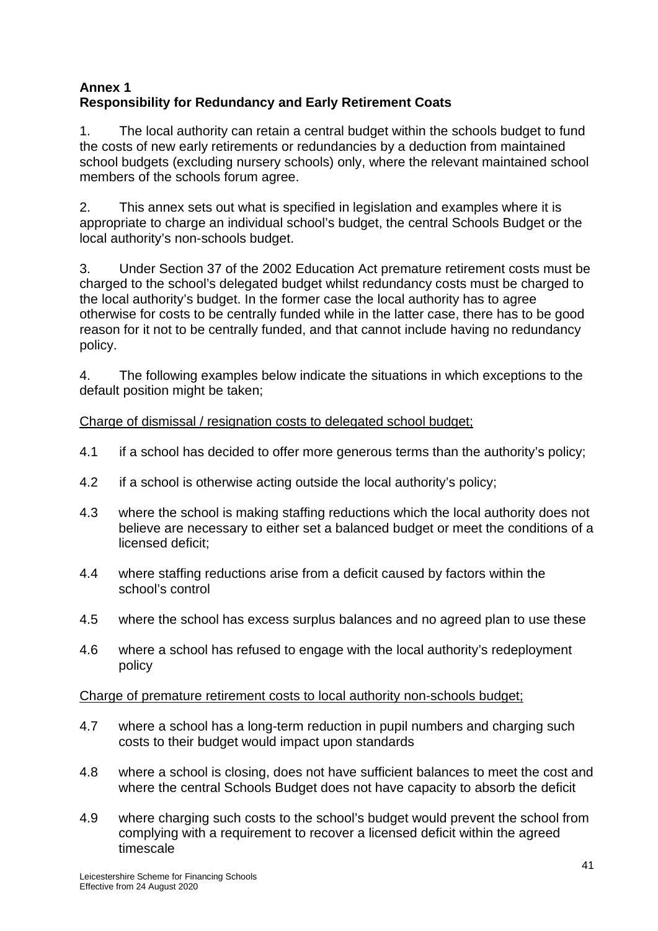# **Annex 1 Responsibility for Redundancy and Early Retirement Coats**

1. The local authority can retain a central budget within the schools budget to fund the costs of new early retirements or redundancies by a deduction from maintained school budgets (excluding nursery schools) only, where the relevant maintained school members of the schools forum agree.

2. This annex sets out what is specified in legislation and examples where it is appropriate to charge an individual school's budget, the central Schools Budget or the local authority's non-schools budget.

3. Under Section 37 of the 2002 Education Act premature retirement costs must be charged to the school's delegated budget whilst redundancy costs must be charged to the local authority's budget. In the former case the local authority has to agree otherwise for costs to be centrally funded while in the latter case, there has to be good reason for it not to be centrally funded, and that cannot include having no redundancy policy.

4. The following examples below indicate the situations in which exceptions to the default position might be taken;

# Charge of dismissal / resignation costs to delegated school budget;

- 4.1 if a school has decided to offer more generous terms than the authority's policy;
- 4.2 if a school is otherwise acting outside the local authority's policy;
- 4.3 where the school is making staffing reductions which the local authority does not believe are necessary to either set a balanced budget or meet the conditions of a licensed deficit;
- 4.4 where staffing reductions arise from a deficit caused by factors within the school's control
- 4.5 where the school has excess surplus balances and no agreed plan to use these
- 4.6 where a school has refused to engage with the local authority's redeployment policy

Charge of premature retirement costs to local authority non-schools budget;

- 4.7 where a school has a long-term reduction in pupil numbers and charging such costs to their budget would impact upon standards
- 4.8 where a school is closing, does not have sufficient balances to meet the cost and where the central Schools Budget does not have capacity to absorb the deficit
- 4.9 where charging such costs to the school's budget would prevent the school from complying with a requirement to recover a licensed deficit within the agreed timescale